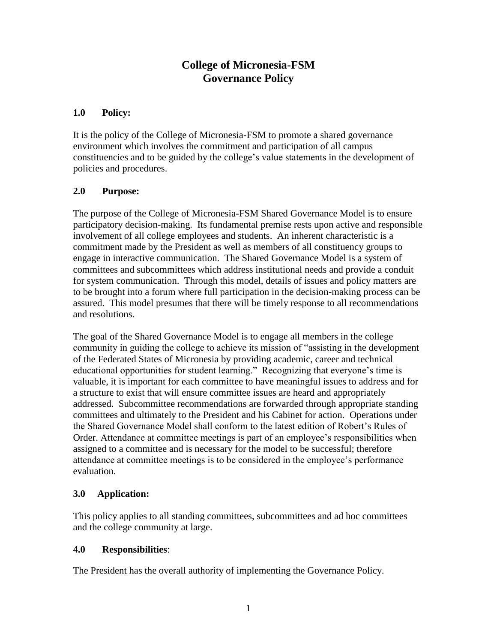# **College of Micronesia-FSM Governance Policy**

### **1.0 Policy:**

It is the policy of the College of Micronesia-FSM to promote a shared governance environment which involves the commitment and participation of all campus constituencies and to be guided by the college's value statements in the development of policies and procedures.

### **2.0 Purpose:**

The purpose of the College of Micronesia-FSM Shared Governance Model is to ensure participatory decision-making. Its fundamental premise rests upon active and responsible involvement of all college employees and students. An inherent characteristic is a commitment made by the President as well as members of all constituency groups to engage in interactive communication. The Shared Governance Model is a system of committees and subcommittees which address institutional needs and provide a conduit for system communication. Through this model, details of issues and policy matters are to be brought into a forum where full participation in the decision-making process can be assured. This model presumes that there will be timely response to all recommendations and resolutions.

The goal of the Shared Governance Model is to engage all members in the college community in guiding the college to achieve its mission of "assisting in the development of the Federated States of Micronesia by providing academic, career and technical educational opportunities for student learning." Recognizing that everyone's time is valuable, it is important for each committee to have meaningful issues to address and for a structure to exist that will ensure committee issues are heard and appropriately addressed. Subcommittee recommendations are forwarded through appropriate standing committees and ultimately to the President and his Cabinet for action. Operations under the Shared Governance Model shall conform to the latest edition of Robert's Rules of Order. Attendance at committee meetings is part of an employee's responsibilities when assigned to a committee and is necessary for the model to be successful; therefore attendance at committee meetings is to be considered in the employee's performance evaluation.

### **3.0 Application:**

This policy applies to all standing committees, subcommittees and ad hoc committees and the college community at large.

### **4.0 Responsibilities**:

The President has the overall authority of implementing the Governance Policy.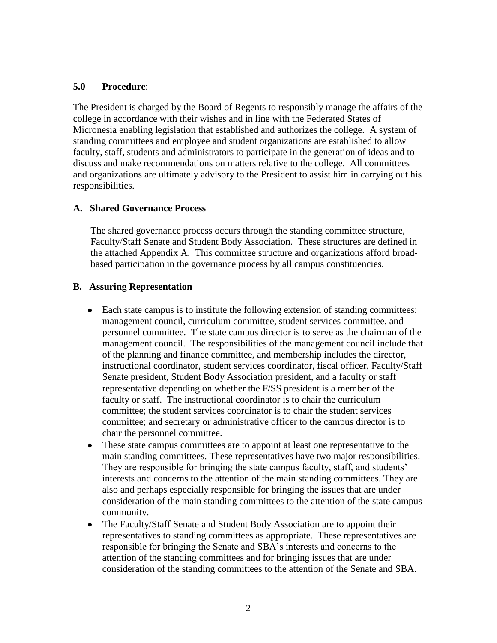#### **5.0 Procedure**:

The President is charged by the Board of Regents to responsibly manage the affairs of the college in accordance with their wishes and in line with the Federated States of Micronesia enabling legislation that established and authorizes the college. A system of standing committees and employee and student organizations are established to allow faculty, staff, students and administrators to participate in the generation of ideas and to discuss and make recommendations on matters relative to the college. All committees and organizations are ultimately advisory to the President to assist him in carrying out his responsibilities.

### **A. Shared Governance Process**

The shared governance process occurs through the standing committee structure, Faculty/Staff Senate and Student Body Association. These structures are defined in the attached Appendix A. This committee structure and organizations afford broadbased participation in the governance process by all campus constituencies.

### **B. Assuring Representation**

- Each state campus is to institute the following extension of standing committees: management council, curriculum committee, student services committee, and personnel committee. The state campus director is to serve as the chairman of the management council. The responsibilities of the management council include that of the planning and finance committee, and membership includes the director, instructional coordinator, student services coordinator, fiscal officer, Faculty/Staff Senate president, Student Body Association president, and a faculty or staff representative depending on whether the F/SS president is a member of the faculty or staff. The instructional coordinator is to chair the curriculum committee; the student services coordinator is to chair the student services committee; and secretary or administrative officer to the campus director is to chair the personnel committee.
- These state campus committees are to appoint at least one representative to the  $\bullet$ main standing committees. These representatives have two major responsibilities. They are responsible for bringing the state campus faculty, staff, and students' interests and concerns to the attention of the main standing committees. They are also and perhaps especially responsible for bringing the issues that are under consideration of the main standing committees to the attention of the state campus community.
- $\bullet$ The Faculty/Staff Senate and Student Body Association are to appoint their representatives to standing committees as appropriate. These representatives are responsible for bringing the Senate and SBA's interests and concerns to the attention of the standing committees and for bringing issues that are under consideration of the standing committees to the attention of the Senate and SBA.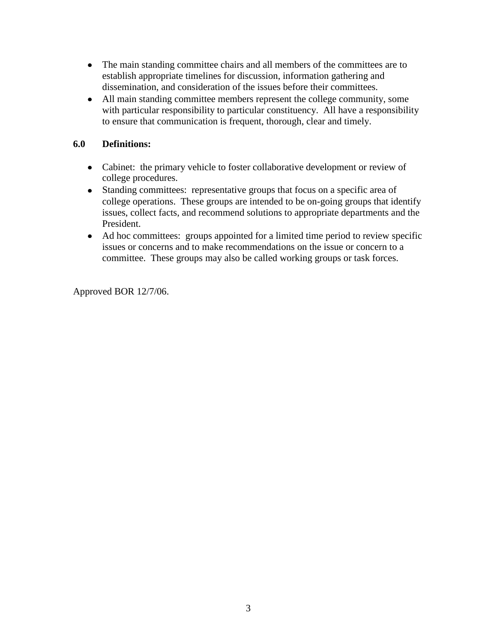- The main standing committee chairs and all members of the committees are to establish appropriate timelines for discussion, information gathering and dissemination, and consideration of the issues before their committees.
- All main standing committee members represent the college community, some with particular responsibility to particular constituency. All have a responsibility to ensure that communication is frequent, thorough, clear and timely.

### **6.0 Definitions:**

- Cabinet: the primary vehicle to foster collaborative development or review of college procedures.
- Standing committees: representative groups that focus on a specific area of college operations. These groups are intended to be on-going groups that identify issues, collect facts, and recommend solutions to appropriate departments and the President.
- Ad hoc committees: groups appointed for a limited time period to review specific issues or concerns and to make recommendations on the issue or concern to a committee. These groups may also be called working groups or task forces.

Approved BOR 12/7/06.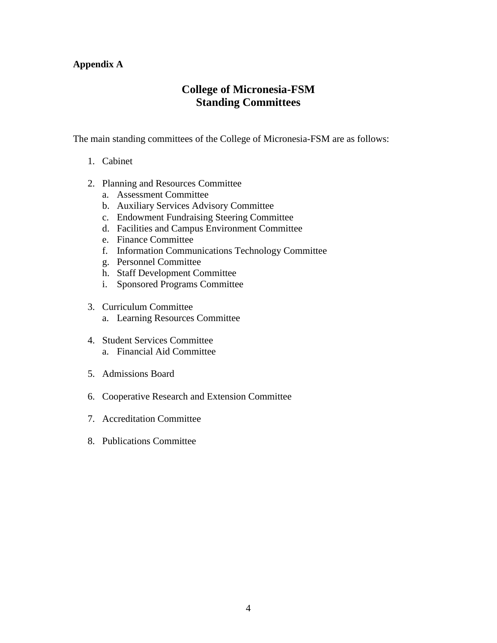### **Appendix A**

# **College of Micronesia-FSM Standing Committees**

The main standing committees of the College of Micronesia-FSM are as follows:

- 1. Cabinet
- 2. Planning and Resources Committee
	- a. Assessment Committee
	- b. Auxiliary Services Advisory Committee
	- c. Endowment Fundraising Steering Committee
	- d. Facilities and Campus Environment Committee
	- e. Finance Committee
	- f. Information Communications Technology Committee
	- g. Personnel Committee
	- h. Staff Development Committee
	- i. Sponsored Programs Committee
- 3. Curriculum Committee
	- a. Learning Resources Committee
- 4. Student Services Committee a. Financial Aid Committee
- 5. Admissions Board
- 6. Cooperative Research and Extension Committee
- 7. Accreditation Committee
- 8. Publications Committee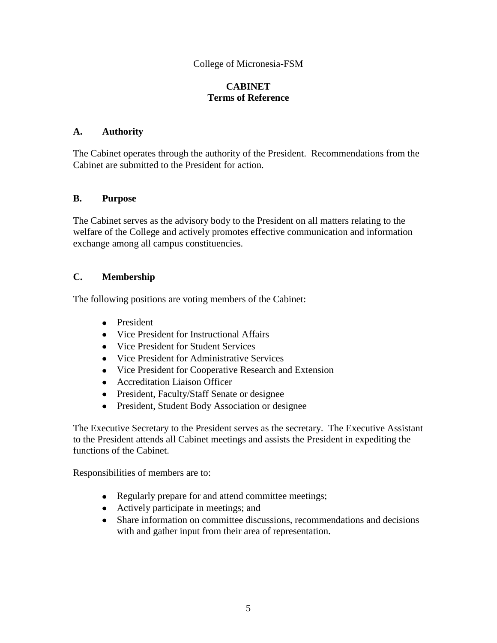### **CABINET Terms of Reference**

### **A. Authority**

The Cabinet operates through the authority of the President. Recommendations from the Cabinet are submitted to the President for action.

#### **B. Purpose**

The Cabinet serves as the advisory body to the President on all matters relating to the welfare of the College and actively promotes effective communication and information exchange among all campus constituencies.

### **C. Membership**

The following positions are voting members of the Cabinet:

- President
- Vice President for Instructional Affairs
- Vice President for Student Services
- Vice President for Administrative Services
- Vice President for Cooperative Research and Extension
- Accreditation Liaison Officer
- President, Faculty/Staff Senate or designee
- President, Student Body Association or designee

The Executive Secretary to the President serves as the secretary. The Executive Assistant to the President attends all Cabinet meetings and assists the President in expediting the functions of the Cabinet.

Responsibilities of members are to:

- Regularly prepare for and attend committee meetings;
- Actively participate in meetings; and
- Share information on committee discussions, recommendations and decisions with and gather input from their area of representation.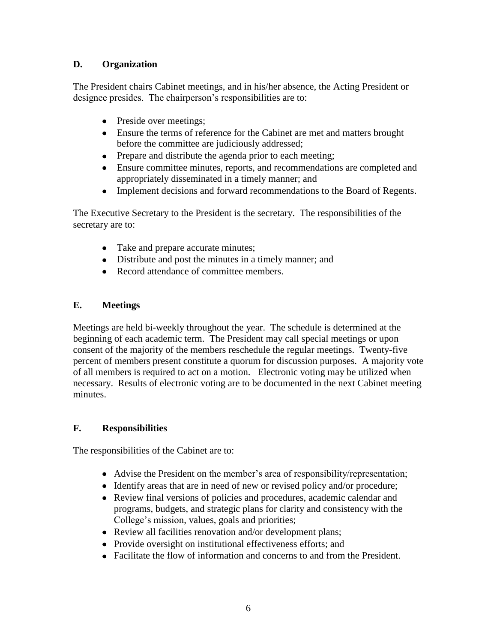### **D. Organization**

The President chairs Cabinet meetings, and in his/her absence, the Acting President or designee presides. The chairperson's responsibilities are to:

- Preside over meetings;
- Ensure the terms of reference for the Cabinet are met and matters brought before the committee are judiciously addressed;
- Prepare and distribute the agenda prior to each meeting;
- Ensure committee minutes, reports, and recommendations are completed and appropriately disseminated in a timely manner; and
- $\bullet$ Implement decisions and forward recommendations to the Board of Regents.

The Executive Secretary to the President is the secretary.The responsibilities of the secretary are to:

- Take and prepare accurate minutes;
- Distribute and post the minutes in a timely manner; and
- Record attendance of committee members.

## **E. Meetings**

Meetings are held bi-weekly throughout the year. The schedule is determined at the beginning of each academic term. The President may call special meetings or upon consent of the majority of the members reschedule the regular meetings. Twenty-five percent of members present constitute a quorum for discussion purposes. A majority vote of all members is required to act on a motion. Electronic voting may be utilized when necessary. Results of electronic voting are to be documented in the next Cabinet meeting minutes.

## **F. Responsibilities**

The responsibilities of the Cabinet are to:

- Advise the President on the member's area of responsibility/representation;
- Identify areas that are in need of new or revised policy and/or procedure;
- Review final versions of policies and procedures, academic calendar and programs, budgets, and strategic plans for clarity and consistency with the College's mission, values, goals and priorities;
- Review all facilities renovation and/or development plans;
- Provide oversight on institutional effectiveness efforts; and
- Facilitate the flow of information and concerns to and from the President.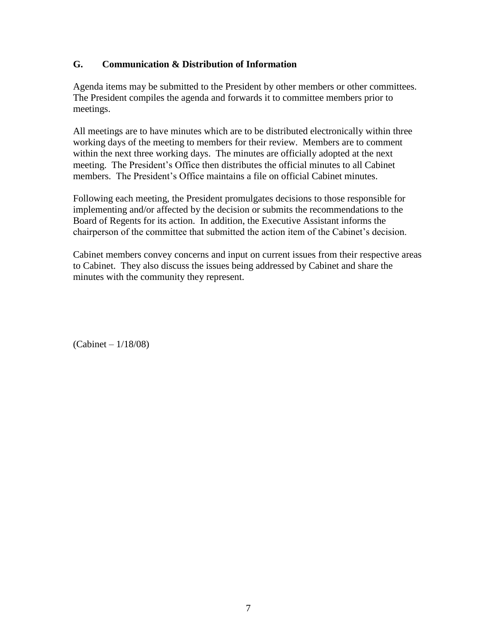### **G. Communication & Distribution of Information**

Agenda items may be submitted to the President by other members or other committees. The President compiles the agenda and forwards it to committee members prior to meetings.

All meetings are to have minutes which are to be distributed electronically within three working days of the meeting to members for their review. Members are to comment within the next three working days. The minutes are officially adopted at the next meeting. The President's Office then distributes the official minutes to all Cabinet members. The President's Office maintains a file on official Cabinet minutes.

Following each meeting, the President promulgates decisions to those responsible for implementing and/or affected by the decision or submits the recommendations to the Board of Regents for its action. In addition, the Executive Assistant informs the chairperson of the committee that submitted the action item of the Cabinet's decision.

Cabinet members convey concerns and input on current issues from their respective areas to Cabinet. They also discuss the issues being addressed by Cabinet and share the minutes with the community they represent.

(Cabinet – 1/18/08)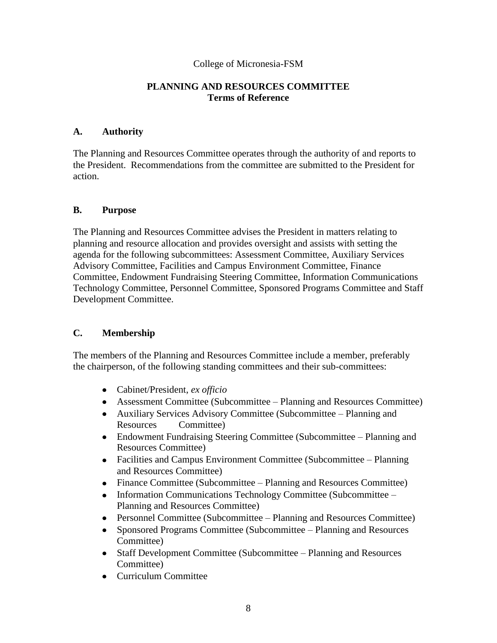#### **PLANNING AND RESOURCES COMMITTEE Terms of Reference**

#### **A. Authority**

The Planning and Resources Committee operates through the authority of and reports to the President. Recommendations from the committee are submitted to the President for action.

### **B. Purpose**

The Planning and Resources Committee advises the President in matters relating to planning and resource allocation and provides oversight and assists with setting the agenda for the following subcommittees: Assessment Committee, Auxiliary Services Advisory Committee, Facilities and Campus Environment Committee, Finance Committee, Endowment Fundraising Steering Committee, Information Communications Technology Committee, Personnel Committee, Sponsored Programs Committee and Staff Development Committee.

### **C. Membership**

The members of the Planning and Resources Committee include a member, preferably the chairperson, of the following standing committees and their sub-committees:

- Cabinet/President, *ex officio*
- Assessment Committee (Subcommittee Planning and Resources Committee)
- Auxiliary Services Advisory Committee (Subcommittee Planning and Resources Committee)
- Endowment Fundraising Steering Committee (Subcommittee Planning and Resources Committee)
- Facilities and Campus Environment Committee (Subcommittee Planning and Resources Committee)
- Finance Committee (Subcommittee Planning and Resources Committee)
- $\bullet$ Information Communications Technology Committee (Subcommittee – Planning and Resources Committee)
- Personnel Committee (Subcommittee Planning and Resources Committee)
- Sponsored Programs Committee (Subcommittee Planning and Resources  $\bullet$ Committee)
- Staff Development Committee (Subcommittee Planning and Resources Committee)
- Curriculum Committee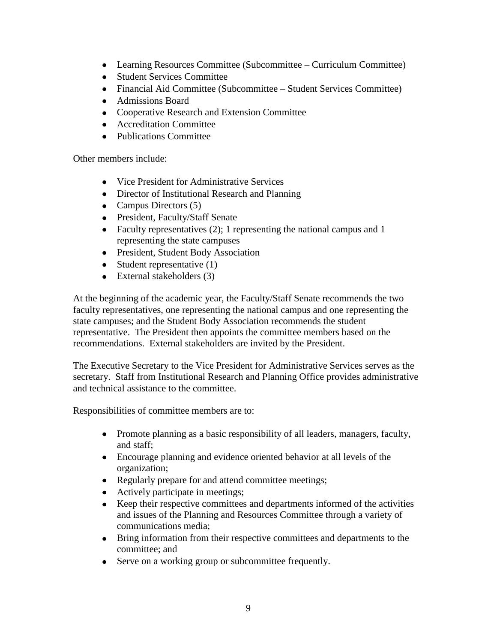- Learning Resources Committee (Subcommittee Curriculum Committee)
- Student Services Committee
- Financial Aid Committee (Subcommittee Student Services Committee)
- Admissions Board
- Cooperative Research and Extension Committee
- Accreditation Committee
- Publications Committee

Other members include:

- Vice President for Administrative Services
- Director of Institutional Research and Planning
- Campus Directors  $(5)$
- President, Faculty/Staff Senate
- Faculty representatives  $(2)$ ; 1 representing the national campus and 1 representing the state campuses
- President, Student Body Association
- $\bullet$  Student representative (1)
- External stakeholders (3)

At the beginning of the academic year, the Faculty/Staff Senate recommends the two faculty representatives, one representing the national campus and one representing the state campuses; and the Student Body Association recommends the student representative. The President then appoints the committee members based on the recommendations. External stakeholders are invited by the President.

The Executive Secretary to the Vice President for Administrative Services serves as the secretary. Staff from Institutional Research and Planning Office provides administrative and technical assistance to the committee.

Responsibilities of committee members are to:

- Promote planning as a basic responsibility of all leaders, managers, faculty, and staff;
- Encourage planning and evidence oriented behavior at all levels of the organization;
- Regularly prepare for and attend committee meetings;
- Actively participate in meetings;
- Keep their respective committees and departments informed of the activities  $\bullet$ and issues of the Planning and Resources Committee through a variety of communications media;
- Bring information from their respective committees and departments to the committee; and
- Serve on a working group or subcommittee frequently.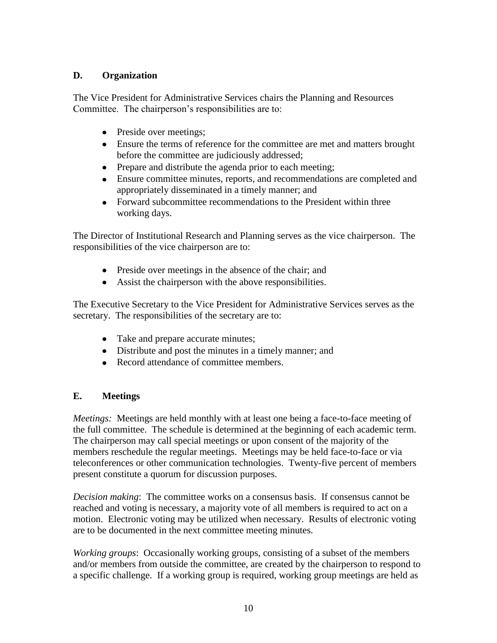### **D. Organization**

The Vice President for Administrative Services chairs the Planning and Resources Committee. The chairperson's responsibilities are to:

- Preside over meetings;
- Ensure the terms of reference for the committee are met and matters brought before the committee are judiciously addressed;
- Prepare and distribute the agenda prior to each meeting;
- Ensure committee minutes, reports, and recommendations are completed and appropriately disseminated in a timely manner; and
- Forward subcommittee recommendations to the President within three working days.

The Director of Institutional Research and Planning serves as the vice chairperson. The responsibilities of the vice chairperson are to:

- Preside over meetings in the absence of the chair; and
- Assist the chairperson with the above responsibilities.

The Executive Secretary to the Vice President for Administrative Services serves as the secretary. The responsibilities of the secretary are to:

- Take and prepare accurate minutes;
- Distribute and post the minutes in a timely manner; and
- Record attendance of committee members

## **E. Meetings**

*Meetings:* Meetings are held monthly with at least one being a face-to-face meeting of the full committee. The schedule is determined at the beginning of each academic term. The chairperson may call special meetings or upon consent of the majority of the members reschedule the regular meetings. Meetings may be held face-to-face or via teleconferences or other communication technologies. Twenty-five percent of members present constitute a quorum for discussion purposes.

*Decision making*: The committee works on a consensus basis. If consensus cannot be reached and voting is necessary, a majority vote of all members is required to act on a motion. Electronic voting may be utilized when necessary. Results of electronic voting are to be documented in the next committee meeting minutes.

*Working groups*: Occasionally working groups, consisting of a subset of the members and/or members from outside the committee, are created by the chairperson to respond to a specific challenge. If a working group is required, working group meetings are held as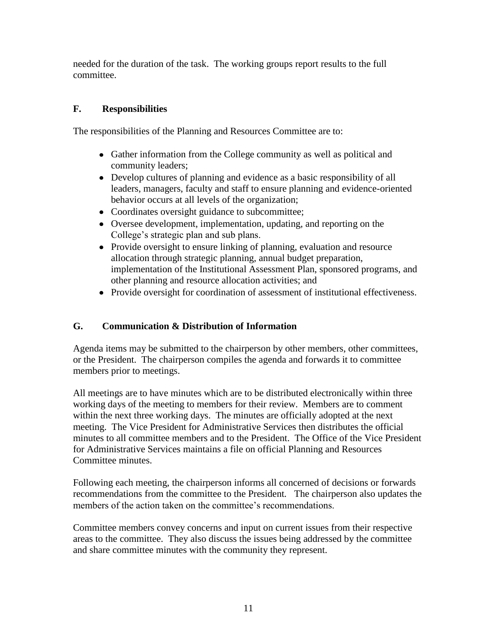needed for the duration of the task. The working groups report results to the full committee.

## **F. Responsibilities**

The responsibilities of the Planning and Resources Committee are to:

- Gather information from the College community as well as political and community leaders;
- Develop cultures of planning and evidence as a basic responsibility of all leaders, managers, faculty and staff to ensure planning and evidence-oriented behavior occurs at all levels of the organization;
- Coordinates oversight guidance to subcommittee;
- Oversee development, implementation, updating, and reporting on the College's strategic plan and sub plans.
- Provide oversight to ensure linking of planning, evaluation and resource allocation through strategic planning, annual budget preparation, implementation of the Institutional Assessment Plan, sponsored programs, and other planning and resource allocation activities; and
- Provide oversight for coordination of assessment of institutional effectiveness.

## **G. Communication & Distribution of Information**

Agenda items may be submitted to the chairperson by other members, other committees, or the President. The chairperson compiles the agenda and forwards it to committee members prior to meetings.

All meetings are to have minutes which are to be distributed electronically within three working days of the meeting to members for their review. Members are to comment within the next three working days. The minutes are officially adopted at the next meeting. The Vice President for Administrative Services then distributes the official minutes to all committee members and to the President. The Office of the Vice President for Administrative Services maintains a file on official Planning and Resources Committee minutes.

Following each meeting, the chairperson informs all concerned of decisions or forwards recommendations from the committee to the President*.* The chairperson also updates the members of the action taken on the committee's recommendations.

Committee members convey concerns and input on current issues from their respective areas to the committee. They also discuss the issues being addressed by the committee and share committee minutes with the community they represent.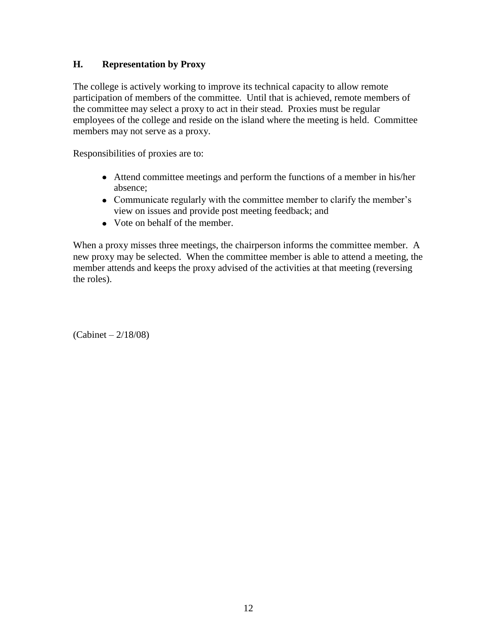### **H. Representation by Proxy**

The college is actively working to improve its technical capacity to allow remote participation of members of the committee. Until that is achieved, remote members of the committee may select a proxy to act in their stead. Proxies must be regular employees of the college and reside on the island where the meeting is held. Committee members may not serve as a proxy.

Responsibilities of proxies are to:

- Attend committee meetings and perform the functions of a member in his/her absence;
- Communicate regularly with the committee member to clarify the member's view on issues and provide post meeting feedback; and
- Vote on behalf of the member.

When a proxy misses three meetings, the chairperson informs the committee member. A new proxy may be selected. When the committee member is able to attend a meeting, the member attends and keeps the proxy advised of the activities at that meeting (reversing the roles).

(Cabinet – 2/18/08)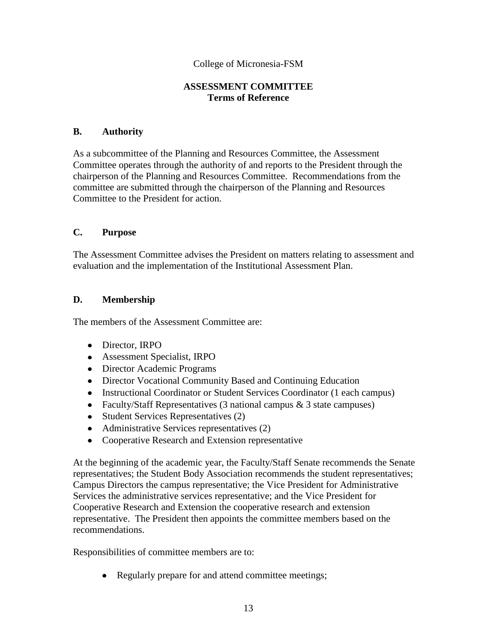#### **ASSESSMENT COMMITTEE Terms of Reference**

#### **B. Authority**

As a subcommittee of the Planning and Resources Committee, the Assessment Committee operates through the authority of and reports to the President through the chairperson of the Planning and Resources Committee. Recommendations from the committee are submitted through the chairperson of the Planning and Resources Committee to the President for action.

#### **C. Purpose**

The Assessment Committee advises the President on matters relating to assessment and evaluation and the implementation of the Institutional Assessment Plan.

#### **D. Membership**

The members of the Assessment Committee are:

- Director, IRPO
- Assessment Specialist, IRPO
- Director Academic Programs
- Director Vocational Community Based and Continuing Education
- Instructional Coordinator or Student Services Coordinator (1 each campus)
- Faculty/Staff Representatives  $(3 \text{ national campus } \& 3 \text{ state campus})$
- Student Services Representatives (2)
- Administrative Services representatives (2)
- Cooperative Research and Extension representative

At the beginning of the academic year, the Faculty/Staff Senate recommends the Senate representatives; the Student Body Association recommends the student representatives; Campus Directors the campus representative; the Vice President for Administrative Services the administrative services representative; and the Vice President for Cooperative Research and Extension the cooperative research and extension representative. The President then appoints the committee members based on the recommendations.

Responsibilities of committee members are to:

• Regularly prepare for and attend committee meetings;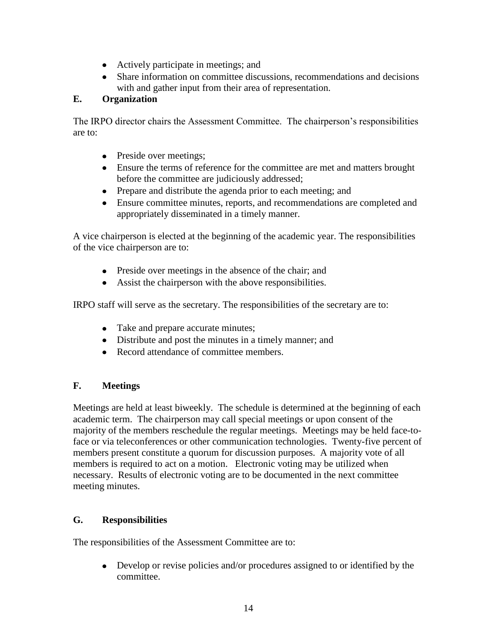- Actively participate in meetings; and
- Share information on committee discussions, recommendations and decisions with and gather input from their area of representation.

## **E. Organization**

The IRPO director chairs the Assessment Committee. The chairperson's responsibilities are to:

- Preside over meetings;
- Ensure the terms of reference for the committee are met and matters brought before the committee are judiciously addressed;
- Prepare and distribute the agenda prior to each meeting; and
- Ensure committee minutes, reports, and recommendations are completed and appropriately disseminated in a timely manner.

A vice chairperson is elected at the beginning of the academic year. The responsibilities of the vice chairperson are to:

- Preside over meetings in the absence of the chair; and
- Assist the chairperson with the above responsibilities.

IRPO staff will serve as the secretary. The responsibilities of the secretary are to:

- Take and prepare accurate minutes;
- Distribute and post the minutes in a timely manner; and
- Record attendance of committee members.

### **F. Meetings**

Meetings are held at least biweekly. The schedule is determined at the beginning of each academic term. The chairperson may call special meetings or upon consent of the majority of the members reschedule the regular meetings. Meetings may be held face-toface or via teleconferences or other communication technologies. Twenty-five percent of members present constitute a quorum for discussion purposes. A majority vote of all members is required to act on a motion. Electronic voting may be utilized when necessary. Results of electronic voting are to be documented in the next committee meeting minutes.

### **G. Responsibilities**

The responsibilities of the Assessment Committee are to:

Develop or revise policies and/or procedures assigned to or identified by the  $\bullet$ committee.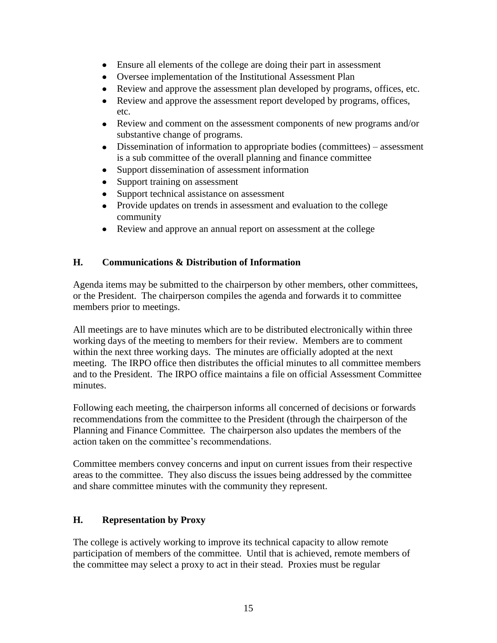- Ensure all elements of the college are doing their part in assessment
- Oversee implementation of the Institutional Assessment Plan
- $\bullet$ Review and approve the assessment plan developed by programs, offices, etc.
- Review and approve the assessment report developed by programs, offices,  $\bullet$ etc.
- Review and comment on the assessment components of new programs and/or substantive change of programs.
- Dissemination of information to appropriate bodies (committees) assessment is a sub committee of the overall planning and finance committee
- Support dissemination of assessment information  $\bullet$
- $\bullet$ Support training on assessment
- Support technical assistance on assessment
- Provide updates on trends in assessment and evaluation to the college community
- Review and approve an annual report on assessment at the college

## **H. Communications & Distribution of Information**

Agenda items may be submitted to the chairperson by other members, other committees, or the President. The chairperson compiles the agenda and forwards it to committee members prior to meetings.

All meetings are to have minutes which are to be distributed electronically within three working days of the meeting to members for their review. Members are to comment within the next three working days. The minutes are officially adopted at the next meeting. The IRPO office then distributes the official minutes to all committee members and to the President. The IRPO office maintains a file on official Assessment Committee minutes.

Following each meeting, the chairperson informs all concerned of decisions or forwards recommendations from the committee to the President (through the chairperson of the Planning and Finance Committee*.* The chairperson also updates the members of the action taken on the committee's recommendations.

Committee members convey concerns and input on current issues from their respective areas to the committee. They also discuss the issues being addressed by the committee and share committee minutes with the community they represent.

## **H. Representation by Proxy**

The college is actively working to improve its technical capacity to allow remote participation of members of the committee. Until that is achieved, remote members of the committee may select a proxy to act in their stead. Proxies must be regular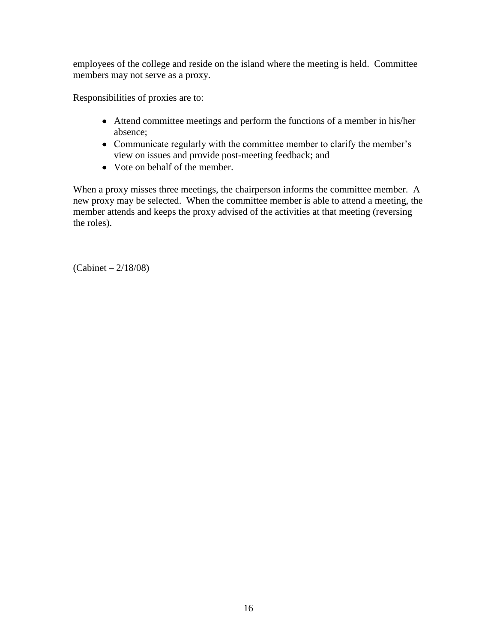employees of the college and reside on the island where the meeting is held. Committee members may not serve as a proxy.

Responsibilities of proxies are to:

- Attend committee meetings and perform the functions of a member in his/her absence;
- Communicate regularly with the committee member to clarify the member's view on issues and provide post-meeting feedback; and
- Vote on behalf of the member.

When a proxy misses three meetings, the chairperson informs the committee member. A new proxy may be selected. When the committee member is able to attend a meeting, the member attends and keeps the proxy advised of the activities at that meeting (reversing the roles).

(Cabinet – 2/18/08)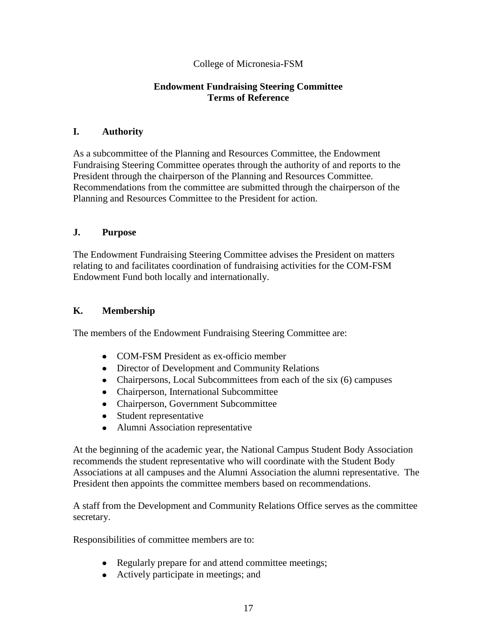### **Endowment Fundraising Steering Committee Terms of Reference**

#### **I. Authority**

As a subcommittee of the Planning and Resources Committee, the Endowment Fundraising Steering Committee operates through the authority of and reports to the President through the chairperson of the Planning and Resources Committee. Recommendations from the committee are submitted through the chairperson of the Planning and Resources Committee to the President for action.

### **J. Purpose**

The Endowment Fundraising Steering Committee advises the President on matters relating to and facilitates coordination of fundraising activities for the COM-FSM Endowment Fund both locally and internationally.

### **K. Membership**

The members of the Endowment Fundraising Steering Committee are:

- COM-FSM President as ex-officio member
- Director of Development and Community Relations
- Chairpersons, Local Subcommittees from each of the six (6) campuses
- Chairperson, International Subcommittee
- Chairperson, Government Subcommittee
- Student representative
- Alumni Association representative

At the beginning of the academic year, the National Campus Student Body Association recommends the student representative who will coordinate with the Student Body Associations at all campuses and the Alumni Association the alumni representative. The President then appoints the committee members based on recommendations.

A staff from the Development and Community Relations Office serves as the committee secretary.

Responsibilities of committee members are to:

- Regularly prepare for and attend committee meetings;
- Actively participate in meetings; and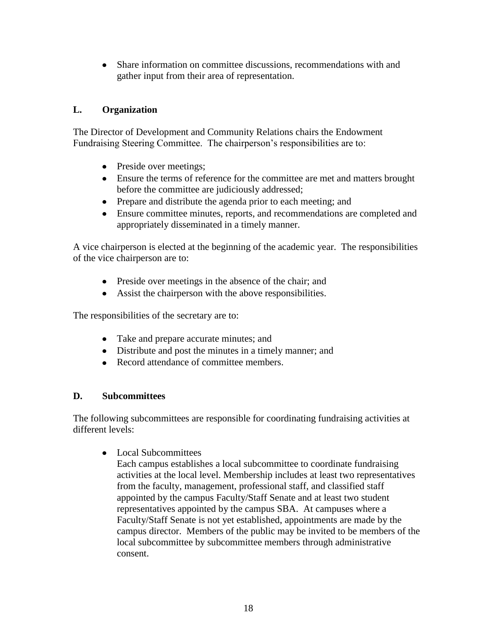Share information on committee discussions, recommendations with and  $\bullet$ gather input from their area of representation.

## **L. Organization**

The Director of Development and Community Relations chairs the Endowment Fundraising Steering Committee. The chairperson's responsibilities are to:

- Preside over meetings;
- Ensure the terms of reference for the committee are met and matters brought before the committee are judiciously addressed;
- Prepare and distribute the agenda prior to each meeting; and
- Ensure committee minutes, reports, and recommendations are completed and appropriately disseminated in a timely manner.

A vice chairperson is elected at the beginning of the academic year. The responsibilities of the vice chairperson are to:

- Preside over meetings in the absence of the chair; and
- Assist the chairperson with the above responsibilities.

The responsibilities of the secretary are to:

- Take and prepare accurate minutes; and
- Distribute and post the minutes in a timely manner; and
- Record attendance of committee members.

### **D. Subcommittees**

The following subcommittees are responsible for coordinating fundraising activities at different levels:

 $\bullet$ Local Subcommittees

Each campus establishes a local subcommittee to coordinate fundraising activities at the local level. Membership includes at least two representatives from the faculty, management, professional staff, and classified staff appointed by the campus Faculty/Staff Senate and at least two student representatives appointed by the campus SBA. At campuses where a Faculty/Staff Senate is not yet established, appointments are made by the campus director. Members of the public may be invited to be members of the local subcommittee by subcommittee members through administrative consent.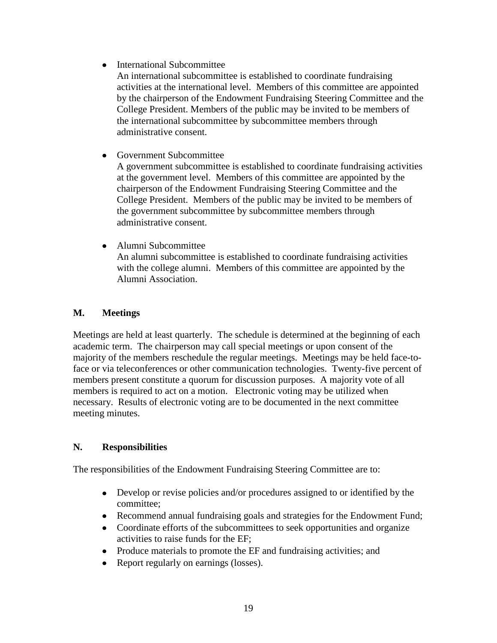• International Subcommittee

An international subcommittee is established to coordinate fundraising activities at the international level. Members of this committee are appointed by the chairperson of the Endowment Fundraising Steering Committee and the College President. Members of the public may be invited to be members of the international subcommittee by subcommittee members through administrative consent.

• Government Subcommittee

A government subcommittee is established to coordinate fundraising activities at the government level. Members of this committee are appointed by the chairperson of the Endowment Fundraising Steering Committee and the College President. Members of the public may be invited to be members of the government subcommittee by subcommittee members through administrative consent.

• Alumni Subcommittee An alumni subcommittee is established to coordinate fundraising activities with the college alumni. Members of this committee are appointed by the Alumni Association.

## **M. Meetings**

Meetings are held at least quarterly. The schedule is determined at the beginning of each academic term. The chairperson may call special meetings or upon consent of the majority of the members reschedule the regular meetings. Meetings may be held face-toface or via teleconferences or other communication technologies. Twenty-five percent of members present constitute a quorum for discussion purposes. A majority vote of all members is required to act on a motion. Electronic voting may be utilized when necessary. Results of electronic voting are to be documented in the next committee meeting minutes.

### **N. Responsibilities**

The responsibilities of the Endowment Fundraising Steering Committee are to:

- Develop or revise policies and/or procedures assigned to or identified by the committee;
- Recommend annual fundraising goals and strategies for the Endowment Fund;
- Coordinate efforts of the subcommittees to seek opportunities and organize activities to raise funds for the EF;
- Produce materials to promote the EF and fundraising activities; and
- Report regularly on earnings (losses).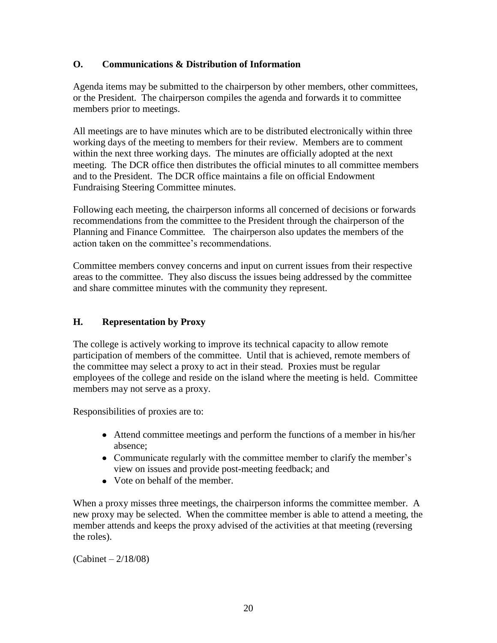### **O. Communications & Distribution of Information**

Agenda items may be submitted to the chairperson by other members, other committees, or the President. The chairperson compiles the agenda and forwards it to committee members prior to meetings.

All meetings are to have minutes which are to be distributed electronically within three working days of the meeting to members for their review. Members are to comment within the next three working days. The minutes are officially adopted at the next meeting. The DCR office then distributes the official minutes to all committee members and to the President. The DCR office maintains a file on official Endowment Fundraising Steering Committee minutes.

Following each meeting, the chairperson informs all concerned of decisions or forwards recommendations from the committee to the President through the chairperson of the Planning and Finance Committee*.* The chairperson also updates the members of the action taken on the committee's recommendations.

Committee members convey concerns and input on current issues from their respective areas to the committee. They also discuss the issues being addressed by the committee and share committee minutes with the community they represent.

## **H. Representation by Proxy**

The college is actively working to improve its technical capacity to allow remote participation of members of the committee. Until that is achieved, remote members of the committee may select a proxy to act in their stead. Proxies must be regular employees of the college and reside on the island where the meeting is held. Committee members may not serve as a proxy.

Responsibilities of proxies are to:

- Attend committee meetings and perform the functions of a member in his/her absence;
- Communicate regularly with the committee member to clarify the member's view on issues and provide post-meeting feedback; and
- Vote on behalf of the member.

When a proxy misses three meetings, the chairperson informs the committee member. A new proxy may be selected. When the committee member is able to attend a meeting, the member attends and keeps the proxy advised of the activities at that meeting (reversing the roles).

(Cabinet – 2/18/08)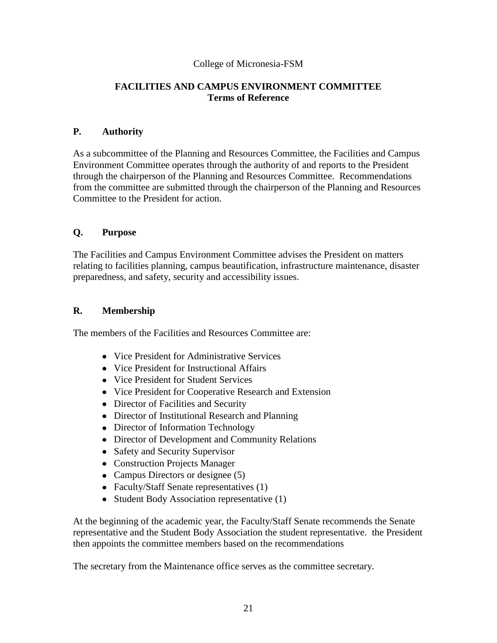### **FACILITIES AND CAMPUS ENVIRONMENT COMMITTEE Terms of Reference**

#### **P. Authority**

As a subcommittee of the Planning and Resources Committee, the Facilities and Campus Environment Committee operates through the authority of and reports to the President through the chairperson of the Planning and Resources Committee. Recommendations from the committee are submitted through the chairperson of the Planning and Resources Committee to the President for action.

### **Q. Purpose**

The Facilities and Campus Environment Committee advises the President on matters relating to facilities planning, campus beautification, infrastructure maintenance, disaster preparedness, and safety, security and accessibility issues.

### **R. Membership**

The members of the Facilities and Resources Committee are:

- Vice President for Administrative Services
- Vice President for Instructional Affairs
- Vice President for Student Services
- Vice President for Cooperative Research and Extension
- Director of Facilities and Security
- Director of Institutional Research and Planning
- Director of Information Technology
- Director of Development and Community Relations
- Safety and Security Supervisor
- Construction Projects Manager
- Campus Directors or designee (5)
- Faculty/Staff Senate representatives (1)
- Student Body Association representative (1)

At the beginning of the academic year, the Faculty/Staff Senate recommends the Senate representative and the Student Body Association the student representative. the President then appoints the committee members based on the recommendations

The secretary from the Maintenance office serves as the committee secretary.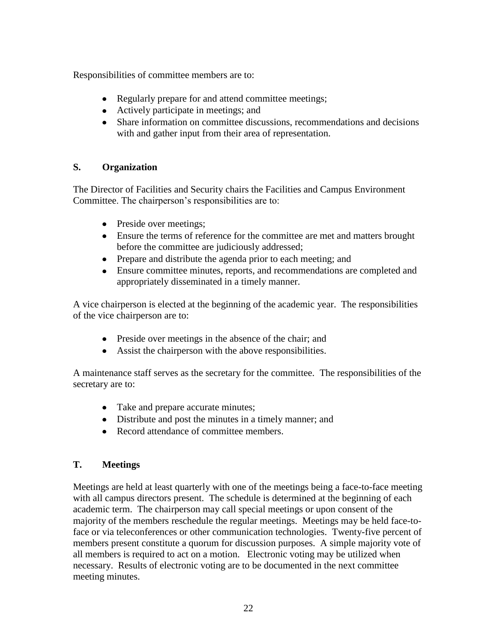Responsibilities of committee members are to:

- Regularly prepare for and attend committee meetings;
- Actively participate in meetings; and
- Share information on committee discussions, recommendations and decisions with and gather input from their area of representation.

## **S. Organization**

The Director of Facilities and Security chairs the Facilities and Campus Environment Committee. The chairperson's responsibilities are to:

- Preside over meetings;
- Ensure the terms of reference for the committee are met and matters brought before the committee are judiciously addressed;
- Prepare and distribute the agenda prior to each meeting; and
- Ensure committee minutes, reports, and recommendations are completed and appropriately disseminated in a timely manner.

A vice chairperson is elected at the beginning of the academic year. The responsibilities of the vice chairperson are to:

- Preside over meetings in the absence of the chair; and
- Assist the chairperson with the above responsibilities.

A maintenance staff serves as the secretary for the committee.The responsibilities of the secretary are to:

- Take and prepare accurate minutes;
- Distribute and post the minutes in a timely manner; and
- Record attendance of committee members.

## **T. Meetings**

Meetings are held at least quarterly with one of the meetings being a face-to-face meeting with all campus directors present. The schedule is determined at the beginning of each academic term. The chairperson may call special meetings or upon consent of the majority of the members reschedule the regular meetings. Meetings may be held face-toface or via teleconferences or other communication technologies. Twenty-five percent of members present constitute a quorum for discussion purposes. A simple majority vote of all members is required to act on a motion. Electronic voting may be utilized when necessary. Results of electronic voting are to be documented in the next committee meeting minutes.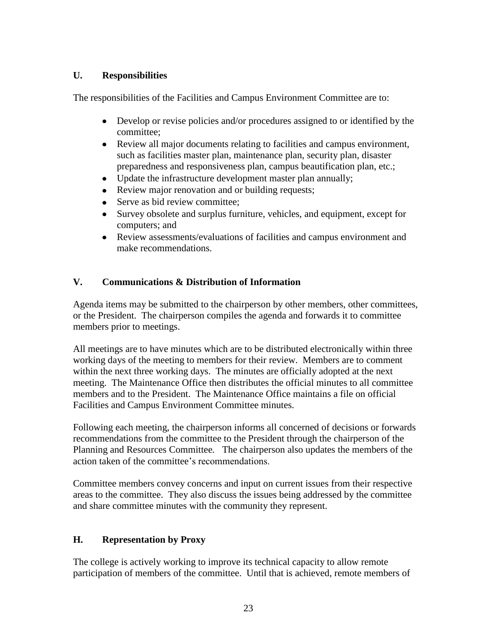### **U. Responsibilities**

The responsibilities of the Facilities and Campus Environment Committee are to:

- Develop or revise policies and/or procedures assigned to or identified by the committee;
- Review all major documents relating to facilities and campus environment, such as facilities master plan, maintenance plan, security plan, disaster preparedness and responsiveness plan, campus beautification plan, etc.;
- Update the infrastructure development master plan annually;  $\bullet$
- Review major renovation and or building requests;
- $\bullet$ Serve as bid review committee;
- Survey obsolete and surplus furniture, vehicles, and equipment, except for computers; and
- Review assessments/evaluations of facilities and campus environment and make recommendations.

## **V. Communications & Distribution of Information**

Agenda items may be submitted to the chairperson by other members, other committees, or the President. The chairperson compiles the agenda and forwards it to committee members prior to meetings.

All meetings are to have minutes which are to be distributed electronically within three working days of the meeting to members for their review. Members are to comment within the next three working days. The minutes are officially adopted at the next meeting. The Maintenance Office then distributes the official minutes to all committee members and to the President. The Maintenance Office maintains a file on official Facilities and Campus Environment Committee minutes.

Following each meeting, the chairperson informs all concerned of decisions or forwards recommendations from the committee to the President through the chairperson of the Planning and Resources Committee*.* The chairperson also updates the members of the action taken of the committee's recommendations.

Committee members convey concerns and input on current issues from their respective areas to the committee. They also discuss the issues being addressed by the committee and share committee minutes with the community they represent.

## **H. Representation by Proxy**

The college is actively working to improve its technical capacity to allow remote participation of members of the committee. Until that is achieved, remote members of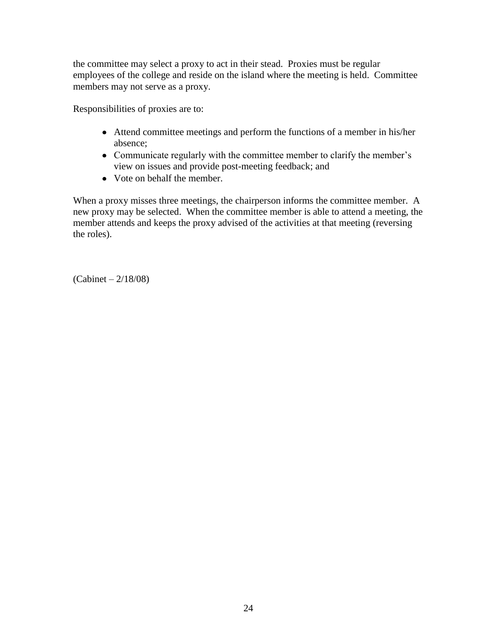the committee may select a proxy to act in their stead. Proxies must be regular employees of the college and reside on the island where the meeting is held. Committee members may not serve as a proxy.

Responsibilities of proxies are to:

- Attend committee meetings and perform the functions of a member in his/her absence;
- Communicate regularly with the committee member to clarify the member's view on issues and provide post-meeting feedback; and
- Vote on behalf the member.

When a proxy misses three meetings, the chairperson informs the committee member. A new proxy may be selected. When the committee member is able to attend a meeting, the member attends and keeps the proxy advised of the activities at that meeting (reversing the roles).

(Cabinet – 2/18/08)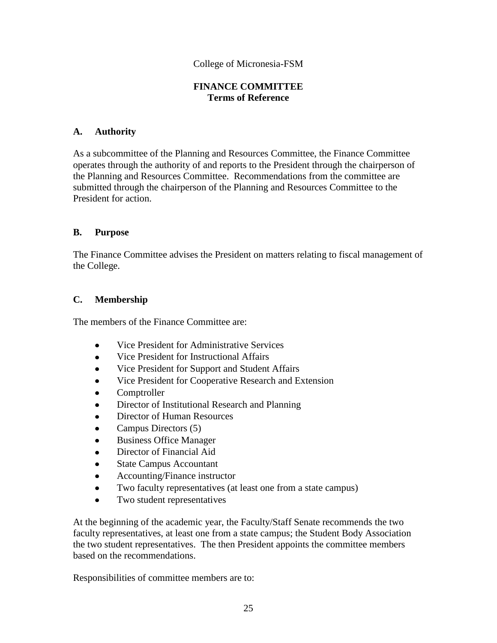### **FINANCE COMMITTEE Terms of Reference**

### **A. Authority**

As a subcommittee of the Planning and Resources Committee, the Finance Committee operates through the authority of and reports to the President through the chairperson of the Planning and Resources Committee. Recommendations from the committee are submitted through the chairperson of the Planning and Resources Committee to the President for action.

### **B. Purpose**

The Finance Committee advises the President on matters relating to fiscal management of the College.

### **C. Membership**

The members of the Finance Committee are:

- Vice President for Administrative Services  $\bullet$
- $\bullet$ Vice President for Instructional Affairs
- Vice President for Support and Student Affairs
- Vice President for Cooperative Research and Extension
- Comptroller
- Director of Institutional Research and Planning
- Director of Human Resources
- Campus Directors (5)
- Business Office Manager
- Director of Financial Aid
- State Campus Accountant
- Accounting/Finance instructor
- Two faculty representatives (at least one from a state campus)  $\bullet$
- $\bullet$ Two student representatives

At the beginning of the academic year, the Faculty/Staff Senate recommends the two faculty representatives, at least one from a state campus; the Student Body Association the two student representatives. The then President appoints the committee members based on the recommendations.

Responsibilities of committee members are to: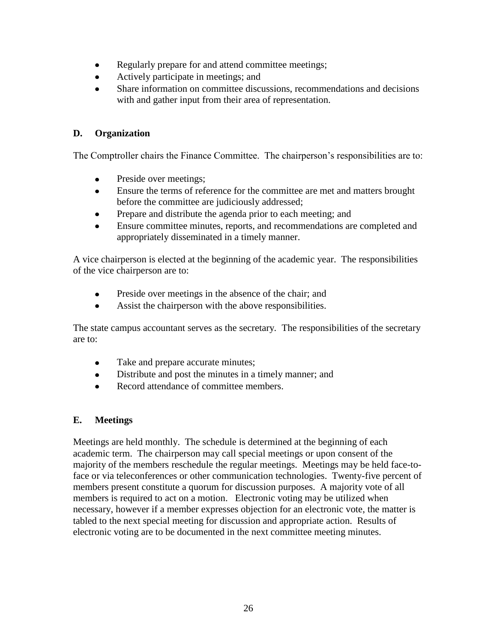- Regularly prepare for and attend committee meetings;  $\bullet$
- Actively participate in meetings; and
- Share information on committee discussions, recommendations and decisions with and gather input from their area of representation.

## **D. Organization**

The Comptroller chairs the Finance Committee. The chairperson's responsibilities are to:

- Preside over meetings;  $\bullet$
- Ensure the terms of reference for the committee are met and matters brought  $\bullet$ before the committee are judiciously addressed;
- Prepare and distribute the agenda prior to each meeting; and  $\bullet$
- Ensure committee minutes, reports, and recommendations are completed and appropriately disseminated in a timely manner.

A vice chairperson is elected at the beginning of the academic year. The responsibilities of the vice chairperson are to:

- $\bullet$ Preside over meetings in the absence of the chair; and
- Assist the chairperson with the above responsibilities.  $\bullet$

The state campus accountant serves as the secretary*.* The responsibilities of the secretary are to:

- Take and prepare accurate minutes;  $\bullet$
- Distribute and post the minutes in a timely manner; and  $\bullet$
- Record attendance of committee members.

## **E. Meetings**

Meetings are held monthly. The schedule is determined at the beginning of each academic term. The chairperson may call special meetings or upon consent of the majority of the members reschedule the regular meetings. Meetings may be held face-toface or via teleconferences or other communication technologies. Twenty-five percent of members present constitute a quorum for discussion purposes. A majority vote of all members is required to act on a motion. Electronic voting may be utilized when necessary, however if a member expresses objection for an electronic vote, the matter is tabled to the next special meeting for discussion and appropriate action. Results of electronic voting are to be documented in the next committee meeting minutes.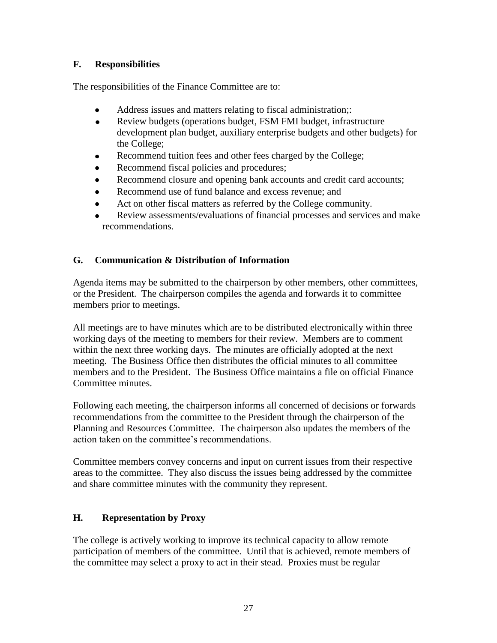## **F. Responsibilities**

The responsibilities of the Finance Committee are to:

- $\bullet$ Address issues and matters relating to fiscal administration;:
- Review budgets (operations budget, FSM FMI budget, infrastructure  $\bullet$ development plan budget, auxiliary enterprise budgets and other budgets) for the College;
- Recommend tuition fees and other fees charged by the College;
- Recommend fiscal policies and procedures;
- Recommend closure and opening bank accounts and credit card accounts;
- Recommend use of fund balance and excess revenue; and
- Act on other fiscal matters as referred by the College community.
- Review assessments/evaluations of financial processes and services and make recommendations.

## **G. Communication & Distribution of Information**

Agenda items may be submitted to the chairperson by other members, other committees, or the President. The chairperson compiles the agenda and forwards it to committee members prior to meetings.

All meetings are to have minutes which are to be distributed electronically within three working days of the meeting to members for their review. Members are to comment within the next three working days. The minutes are officially adopted at the next meeting. The Business Office then distributes the official minutes to all committee members and to the President. The Business Office maintains a file on official Finance Committee minutes.

Following each meeting, the chairperson informs all concerned of decisions or forwards recommendations from the committee to the President through the chairperson of the Planning and Resources Committee. The chairperson also updates the members of the action taken on the committee's recommendations.

Committee members convey concerns and input on current issues from their respective areas to the committee. They also discuss the issues being addressed by the committee and share committee minutes with the community they represent.

## **H. Representation by Proxy**

The college is actively working to improve its technical capacity to allow remote participation of members of the committee. Until that is achieved, remote members of the committee may select a proxy to act in their stead. Proxies must be regular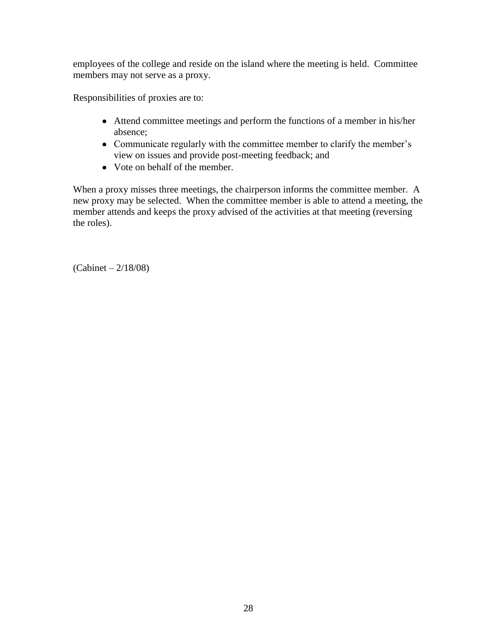employees of the college and reside on the island where the meeting is held. Committee members may not serve as a proxy.

Responsibilities of proxies are to:

- Attend committee meetings and perform the functions of a member in his/her absence;
- Communicate regularly with the committee member to clarify the member's view on issues and provide post-meeting feedback; and
- Vote on behalf of the member.

When a proxy misses three meetings, the chairperson informs the committee member. A new proxy may be selected. When the committee member is able to attend a meeting, the member attends and keeps the proxy advised of the activities at that meeting (reversing the roles).

(Cabinet – 2/18/08)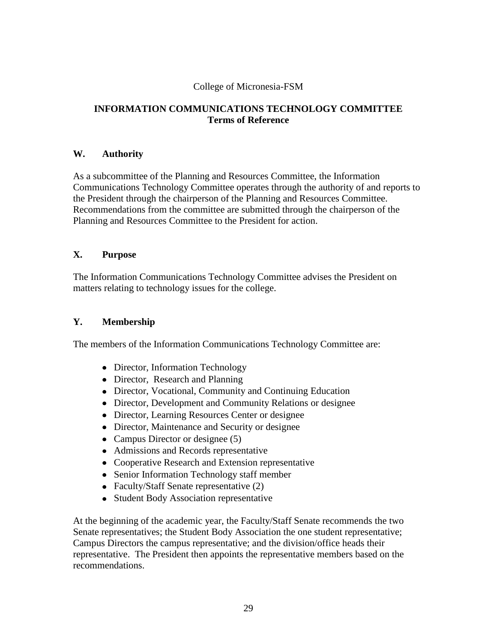### **INFORMATION COMMUNICATIONS TECHNOLOGY COMMITTEE Terms of Reference**

### **W. Authority**

As a subcommittee of the Planning and Resources Committee, the Information Communications Technology Committee operates through the authority of and reports to the President through the chairperson of the Planning and Resources Committee. Recommendations from the committee are submitted through the chairperson of the Planning and Resources Committee to the President for action.

### **X. Purpose**

The Information Communications Technology Committee advises the President on matters relating to technology issues for the college.

### **Y. Membership**

The members of the Information Communications Technology Committee are:

- Director, Information Technology
- Director, Research and Planning
- Director, Vocational, Community and Continuing Education
- Director, Development and Community Relations or designee
- Director, Learning Resources Center or designee
- Director, Maintenance and Security or designee
- Campus Director or designee (5)
- Admissions and Records representative
- Cooperative Research and Extension representative
- Senior Information Technology staff member
- Faculty/Staff Senate representative (2)
- Student Body Association representative

At the beginning of the academic year, the Faculty/Staff Senate recommends the two Senate representatives; the Student Body Association the one student representative; Campus Directors the campus representative; and the division/office heads their representative. The President then appoints the representative members based on the recommendations.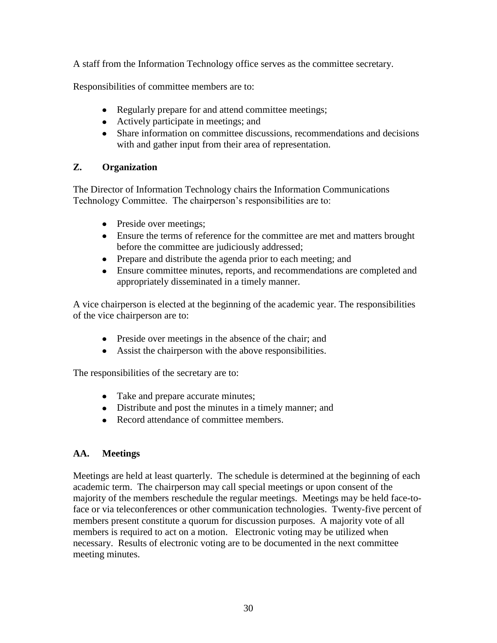A staff from the Information Technology office serves as the committee secretary.

Responsibilities of committee members are to:

- Regularly prepare for and attend committee meetings;
- Actively participate in meetings; and
- Share information on committee discussions, recommendations and decisions with and gather input from their area of representation.

## **Z. Organization**

The Director of Information Technology chairs the Information Communications Technology Committee. The chairperson's responsibilities are to:

- Preside over meetings;
- Ensure the terms of reference for the committee are met and matters brought before the committee are judiciously addressed;
- Prepare and distribute the agenda prior to each meeting; and
- Ensure committee minutes, reports, and recommendations are completed and appropriately disseminated in a timely manner.

A vice chairperson is elected at the beginning of the academic year. The responsibilities of the vice chairperson are to:

- Preside over meetings in the absence of the chair; and
- Assist the chairperson with the above responsibilities.

The responsibilities of the secretary are to:

- Take and prepare accurate minutes;
- Distribute and post the minutes in a timely manner; and
- Record attendance of committee members.

# **AA. Meetings**

Meetings are held at least quarterly. The schedule is determined at the beginning of each academic term. The chairperson may call special meetings or upon consent of the majority of the members reschedule the regular meetings. Meetings may be held face-toface or via teleconferences or other communication technologies. Twenty-five percent of members present constitute a quorum for discussion purposes. A majority vote of all members is required to act on a motion. Electronic voting may be utilized when necessary. Results of electronic voting are to be documented in the next committee meeting minutes.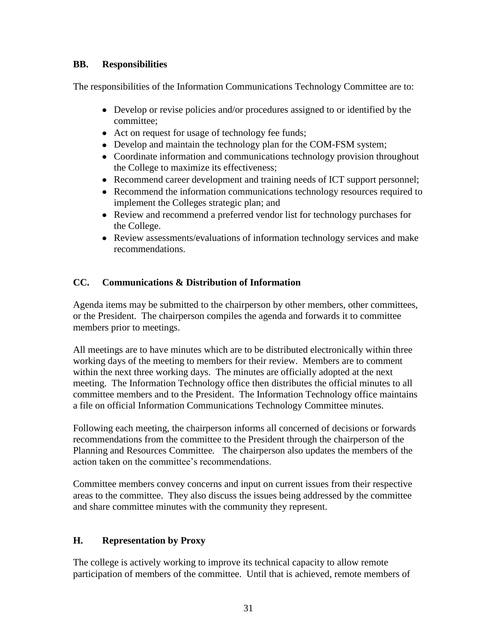## **BB. Responsibilities**

The responsibilities of the Information Communications Technology Committee are to:

- Develop or revise policies and/or procedures assigned to or identified by the committee;
- Act on request for usage of technology fee funds;
- Develop and maintain the technology plan for the COM-FSM system;
- Coordinate information and communications technology provision throughout the College to maximize its effectiveness;
- Recommend career development and training needs of ICT support personnel;
- Recommend the information communications technology resources required to implement the Colleges strategic plan; and
- Review and recommend a preferred vendor list for technology purchases for the College.
- Review assessments/evaluations of information technology services and make recommendations.

## **CC. Communications & Distribution of Information**

Agenda items may be submitted to the chairperson by other members, other committees, or the President. The chairperson compiles the agenda and forwards it to committee members prior to meetings.

All meetings are to have minutes which are to be distributed electronically within three working days of the meeting to members for their review. Members are to comment within the next three working days. The minutes are officially adopted at the next meeting. The Information Technology office then distributes the official minutes to all committee members and to the President. The Information Technology office maintains a file on official Information Communications Technology Committee minutes.

Following each meeting, the chairperson informs all concerned of decisions or forwards recommendations from the committee to the President through the chairperson of the Planning and Resources Committee*.* The chairperson also updates the members of the action taken on the committee's recommendations.

Committee members convey concerns and input on current issues from their respective areas to the committee. They also discuss the issues being addressed by the committee and share committee minutes with the community they represent.

## **H. Representation by Proxy**

The college is actively working to improve its technical capacity to allow remote participation of members of the committee. Until that is achieved, remote members of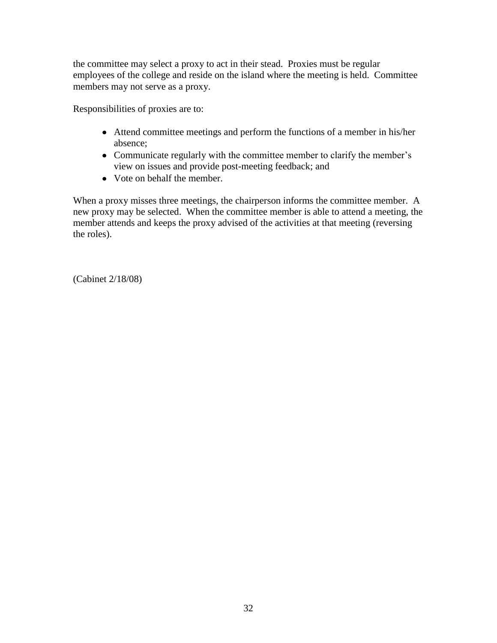the committee may select a proxy to act in their stead. Proxies must be regular employees of the college and reside on the island where the meeting is held. Committee members may not serve as a proxy.

Responsibilities of proxies are to:

- Attend committee meetings and perform the functions of a member in his/her absence;
- Communicate regularly with the committee member to clarify the member's view on issues and provide post-meeting feedback; and
- Vote on behalf the member.

When a proxy misses three meetings, the chairperson informs the committee member. A new proxy may be selected. When the committee member is able to attend a meeting, the member attends and keeps the proxy advised of the activities at that meeting (reversing the roles).

(Cabinet 2/18/08)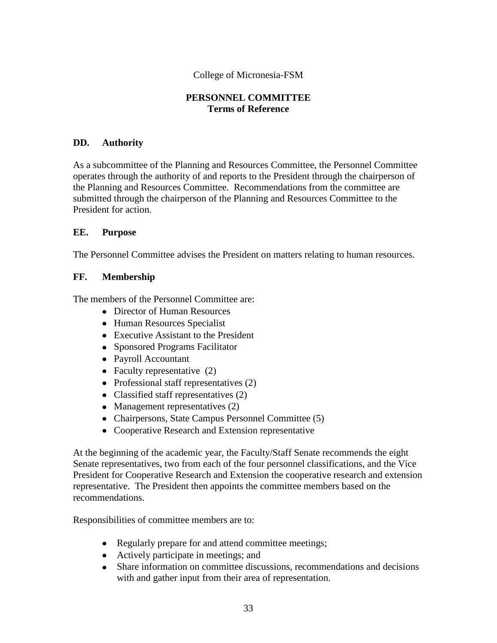### **PERSONNEL COMMITTEE Terms of Reference**

### **DD. Authority**

As a subcommittee of the Planning and Resources Committee, the Personnel Committee operates through the authority of and reports to the President through the chairperson of the Planning and Resources Committee. Recommendations from the committee are submitted through the chairperson of the Planning and Resources Committee to the President for action.

### **EE. Purpose**

The Personnel Committee advises the President on matters relating to human resources.

### **FF. Membership**

The members of the Personnel Committee are:

- Director of Human Resources
- Human Resources Specialist
- Executive Assistant to the President
- Sponsored Programs Facilitator
- Payroll Accountant
- Faculty representative  $(2)$
- Professional staff representatives (2)
- Classified staff representatives (2)
- Management representatives (2)
- Chairpersons, State Campus Personnel Committee (5)
- Cooperative Research and Extension representative

At the beginning of the academic year, the Faculty/Staff Senate recommends the eight Senate representatives, two from each of the four personnel classifications, and the Vice President for Cooperative Research and Extension the cooperative research and extension representative. The President then appoints the committee members based on the recommendations.

Responsibilities of committee members are to:

- Regularly prepare for and attend committee meetings;
- Actively participate in meetings; and
- Share information on committee discussions, recommendations and decisions with and gather input from their area of representation.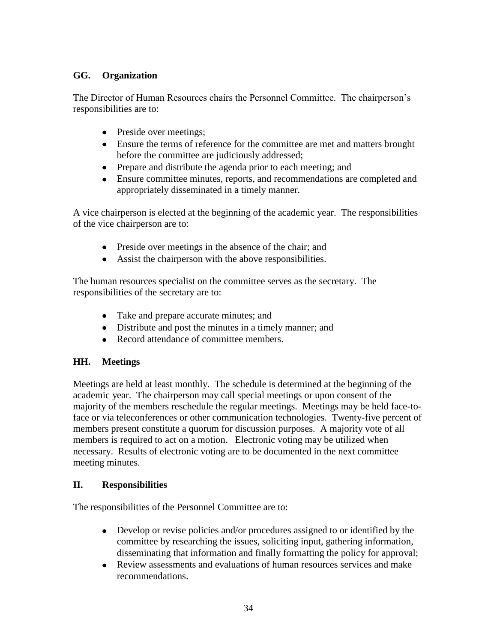### **GG. Organization**

The Director of Human Resources chairs the Personnel Committee. The chairperson's responsibilities are to:

- Preside over meetings;
- Ensure the terms of reference for the committee are met and matters brought before the committee are judiciously addressed;
- Prepare and distribute the agenda prior to each meeting; and
- Ensure committee minutes, reports, and recommendations are completed and appropriately disseminated in a timely manner.

A vice chairperson is elected at the beginning of the academic year. The responsibilities of the vice chairperson are to:

- Preside over meetings in the absence of the chair; and
- Assist the chairperson with the above responsibilities.

The human resources specialist on the committee serves as the secretary. The responsibilities of the secretary are to:

- Take and prepare accurate minutes; and
- Distribute and post the minutes in a timely manner; and
- Record attendance of committee members.

## **HH. Meetings**

Meetings are held at least monthly. The schedule is determined at the beginning of the academic year. The chairperson may call special meetings or upon consent of the majority of the members reschedule the regular meetings. Meetings may be held face-toface or via teleconferences or other communication technologies. Twenty-five percent of members present constitute a quorum for discussion purposes. A majority vote of all members is required to act on a motion. Electronic voting may be utilized when necessary. Results of electronic voting are to be documented in the next committee meeting minutes.

### **II. Responsibilities**

The responsibilities of the Personnel Committee are to:

- Develop or revise policies and/or procedures assigned to or identified by the committee by researching the issues, soliciting input, gathering information, disseminating that information and finally formatting the policy for approval;
- Review assessments and evaluations of human resources services and make recommendations.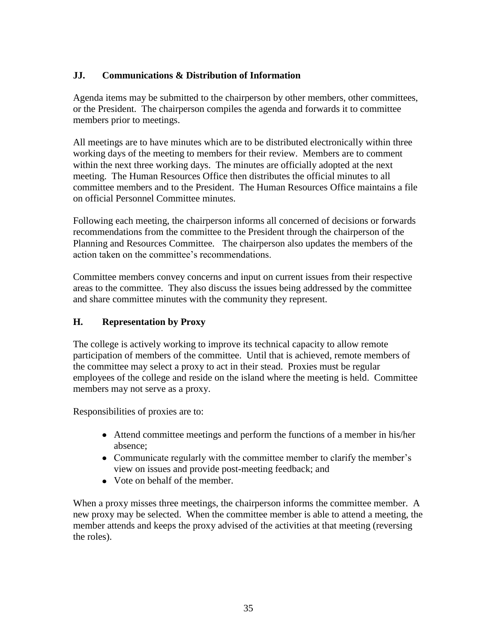## **JJ. Communications & Distribution of Information**

Agenda items may be submitted to the chairperson by other members, other committees, or the President. The chairperson compiles the agenda and forwards it to committee members prior to meetings.

All meetings are to have minutes which are to be distributed electronically within three working days of the meeting to members for their review. Members are to comment within the next three working days. The minutes are officially adopted at the next meeting. The Human Resources Office then distributes the official minutes to all committee members and to the President. The Human Resources Office maintains a file on official Personnel Committee minutes.

Following each meeting, the chairperson informs all concerned of decisions or forwards recommendations from the committee to the President through the chairperson of the Planning and Resources Committee*.* The chairperson also updates the members of the action taken on the committee's recommendations.

Committee members convey concerns and input on current issues from their respective areas to the committee. They also discuss the issues being addressed by the committee and share committee minutes with the community they represent.

### **H. Representation by Proxy**

The college is actively working to improve its technical capacity to allow remote participation of members of the committee. Until that is achieved, remote members of the committee may select a proxy to act in their stead. Proxies must be regular employees of the college and reside on the island where the meeting is held. Committee members may not serve as a proxy.

Responsibilities of proxies are to:

- Attend committee meetings and perform the functions of a member in his/her absence;
- Communicate regularly with the committee member to clarify the member's view on issues and provide post-meeting feedback; and
- Vote on behalf of the member.

When a proxy misses three meetings, the chairperson informs the committee member. A new proxy may be selected. When the committee member is able to attend a meeting, the member attends and keeps the proxy advised of the activities at that meeting (reversing the roles).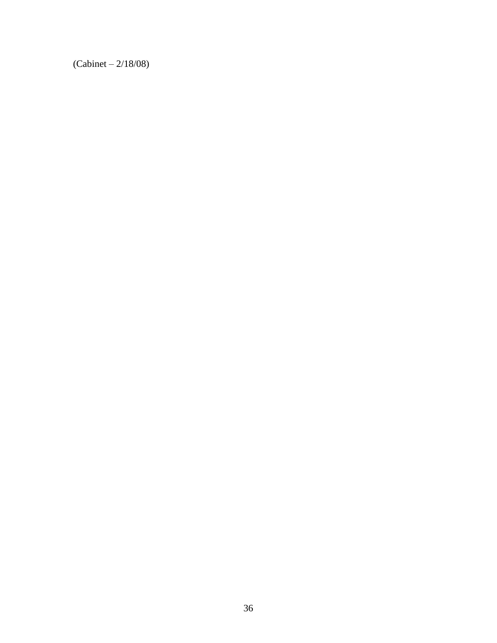(Cabinet – 2/18/08)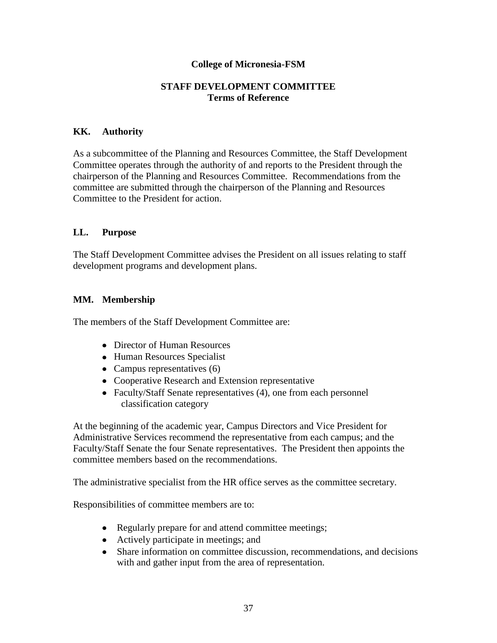#### **STAFF DEVELOPMENT COMMITTEE Terms of Reference**

#### **KK. Authority**

As a subcommittee of the Planning and Resources Committee, the Staff Development Committee operates through the authority of and reports to the President through the chairperson of the Planning and Resources Committee. Recommendations from the committee are submitted through the chairperson of the Planning and Resources Committee to the President for action.

### **LL. Purpose**

The Staff Development Committee advises the President on all issues relating to staff development programs and development plans.

### **MM. Membership**

The members of the Staff Development Committee are:

- Director of Human Resources
- Human Resources Specialist
- Campus representatives (6)
- Cooperative Research and Extension representative
- Faculty/Staff Senate representatives (4), one from each personnel classification category

At the beginning of the academic year, Campus Directors and Vice President for Administrative Services recommend the representative from each campus; and the Faculty/Staff Senate the four Senate representatives. The President then appoints the committee members based on the recommendations.

The administrative specialist from the HR office serves as the committee secretary.

Responsibilities of committee members are to:

- Regularly prepare for and attend committee meetings;
- Actively participate in meetings; and
- Share information on committee discussion, recommendations, and decisions with and gather input from the area of representation.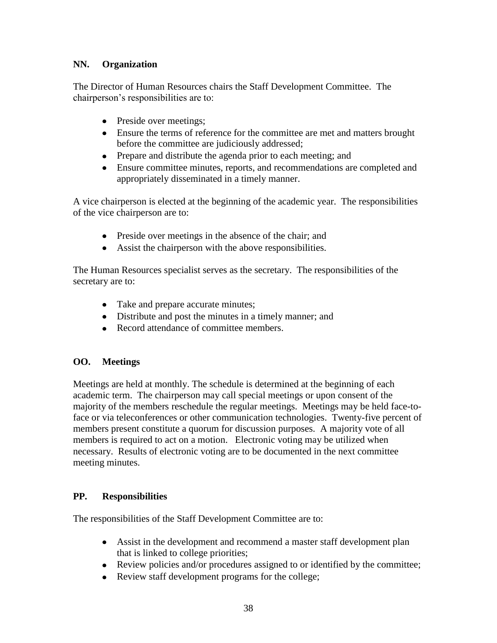# **NN. Organization**

The Director of Human Resources chairs the Staff Development Committee. The chairperson's responsibilities are to:

- Preside over meetings;
- Ensure the terms of reference for the committee are met and matters brought before the committee are judiciously addressed;
- Prepare and distribute the agenda prior to each meeting; and
- Ensure committee minutes, reports, and recommendations are completed and appropriately disseminated in a timely manner.

A vice chairperson is elected at the beginning of the academic year. The responsibilities of the vice chairperson are to:

- Preside over meetings in the absence of the chair; and
- Assist the chairperson with the above responsibilities.

The Human Resources specialist serves as the secretary. The responsibilities of the secretary are to:

- Take and prepare accurate minutes;
- Distribute and post the minutes in a timely manner; and
- Record attendance of committee members.

# **OO. Meetings**

Meetings are held at monthly. The schedule is determined at the beginning of each academic term. The chairperson may call special meetings or upon consent of the majority of the members reschedule the regular meetings. Meetings may be held face-toface or via teleconferences or other communication technologies. Twenty-five percent of members present constitute a quorum for discussion purposes. A majority vote of all members is required to act on a motion. Electronic voting may be utilized when necessary. Results of electronic voting are to be documented in the next committee meeting minutes.

## **PP. Responsibilities**

The responsibilities of the Staff Development Committee are to:

- Assist in the development and recommend a master staff development plan that is linked to college priorities;
- Review policies and/or procedures assigned to or identified by the committee;
- Review staff development programs for the college; $\bullet$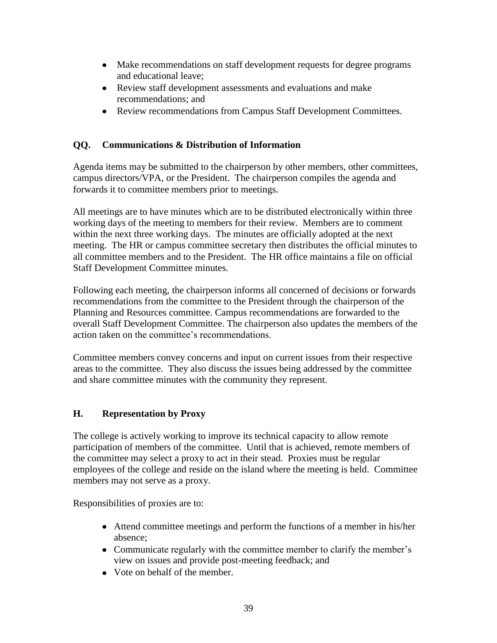- Make recommendations on staff development requests for degree programs and educational leave;
- Review staff development assessments and evaluations and make recommendations; and
- Review recommendations from Campus Staff Development Committees.

# **QQ. Communications & Distribution of Information**

Agenda items may be submitted to the chairperson by other members, other committees, campus directors/VPA, or the President. The chairperson compiles the agenda and forwards it to committee members prior to meetings.

All meetings are to have minutes which are to be distributed electronically within three working days of the meeting to members for their review. Members are to comment within the next three working days. The minutes are officially adopted at the next meeting. The HR or campus committee secretary then distributes the official minutes to all committee members and to the President. The HR office maintains a file on official Staff Development Committee minutes.

Following each meeting, the chairperson informs all concerned of decisions or forwards recommendations from the committee to the President through the chairperson of the Planning and Resources committee. Campus recommendations are forwarded to the overall Staff Development Committee. The chairperson also updates the members of the action taken on the committee's recommendations.

Committee members convey concerns and input on current issues from their respective areas to the committee. They also discuss the issues being addressed by the committee and share committee minutes with the community they represent.

## **H. Representation by Proxy**

The college is actively working to improve its technical capacity to allow remote participation of members of the committee. Until that is achieved, remote members of the committee may select a proxy to act in their stead. Proxies must be regular employees of the college and reside on the island where the meeting is held. Committee members may not serve as a proxy.

Responsibilities of proxies are to:

- Attend committee meetings and perform the functions of a member in his/her absence;
- Communicate regularly with the committee member to clarify the member's view on issues and provide post-meeting feedback; and
- Vote on behalf of the member.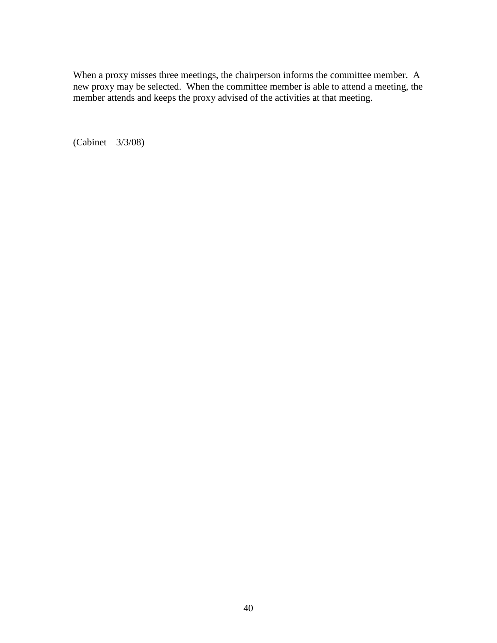When a proxy misses three meetings, the chairperson informs the committee member. A new proxy may be selected. When the committee member is able to attend a meeting, the member attends and keeps the proxy advised of the activities at that meeting.

(Cabinet – 3/3/08)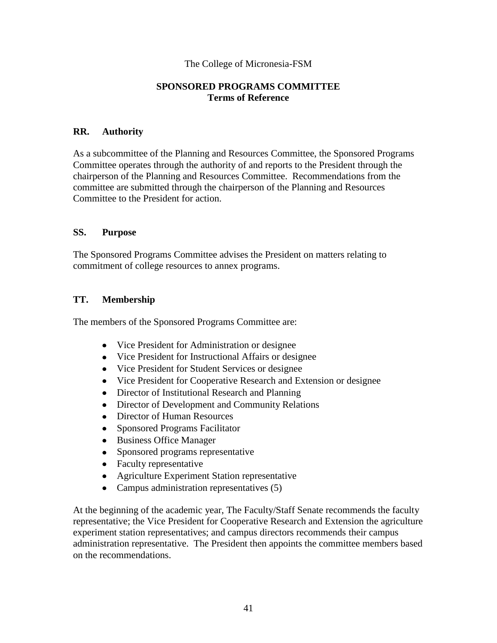#### **SPONSORED PROGRAMS COMMITTEE Terms of Reference**

#### **RR. Authority**

As a subcommittee of the Planning and Resources Committee, the Sponsored Programs Committee operates through the authority of and reports to the President through the chairperson of the Planning and Resources Committee. Recommendations from the committee are submitted through the chairperson of the Planning and Resources Committee to the President for action.

#### **SS. Purpose**

The Sponsored Programs Committee advises the President on matters relating to commitment of college resources to annex programs.

### **TT. Membership**

The members of the Sponsored Programs Committee are:

- Vice President for Administration or designee
- Vice President for Instructional Affairs or designee
- Vice President for Student Services or designee
- Vice President for Cooperative Research and Extension or designee
- Director of Institutional Research and Planning
- Director of Development and Community Relations  $\bullet$
- Director of Human Resources  $\bullet$
- Sponsored Programs Facilitator  $\bullet$
- Business Office Manager
- Sponsored programs representative  $\bullet$
- Faculty representative
- Agriculture Experiment Station representative
- Campus administration representatives (5)

At the beginning of the academic year, The Faculty/Staff Senate recommends the faculty representative; the Vice President for Cooperative Research and Extension the agriculture experiment station representatives; and campus directors recommends their campus administration representative. The President then appoints the committee members based on the recommendations.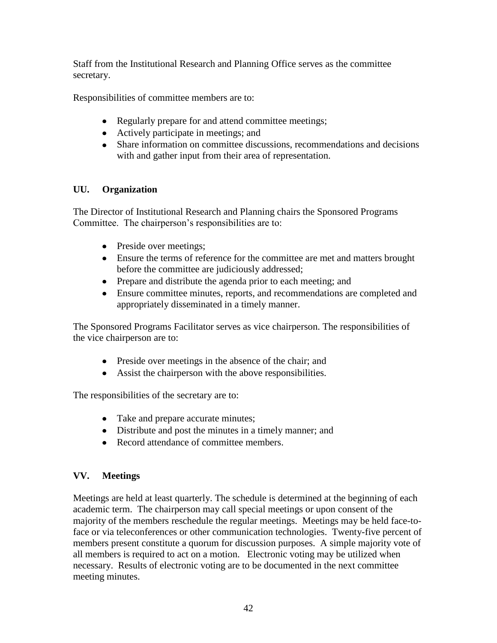Staff from the Institutional Research and Planning Office serves as the committee secretary.

Responsibilities of committee members are to:

- Regularly prepare for and attend committee meetings;
- Actively participate in meetings; and
- Share information on committee discussions, recommendations and decisions with and gather input from their area of representation.

# **UU. Organization**

The Director of Institutional Research and Planning chairs the Sponsored Programs Committee. The chairperson's responsibilities are to:

- Preside over meetings;
- Ensure the terms of reference for the committee are met and matters brought before the committee are judiciously addressed;
- Prepare and distribute the agenda prior to each meeting; and
- Ensure committee minutes, reports, and recommendations are completed and appropriately disseminated in a timely manner.

The Sponsored Programs Facilitator serves as vice chairperson. The responsibilities of the vice chairperson are to:

- Preside over meetings in the absence of the chair; and
- Assist the chairperson with the above responsibilities.

The responsibilities of the secretary are to:

- Take and prepare accurate minutes;
- Distribute and post the minutes in a timely manner; and
- Record attendance of committee members.

# **VV. Meetings**

Meetings are held at least quarterly. The schedule is determined at the beginning of each academic term. The chairperson may call special meetings or upon consent of the majority of the members reschedule the regular meetings. Meetings may be held face-toface or via teleconferences or other communication technologies. Twenty-five percent of members present constitute a quorum for discussion purposes. A simple majority vote of all members is required to act on a motion. Electronic voting may be utilized when necessary. Results of electronic voting are to be documented in the next committee meeting minutes.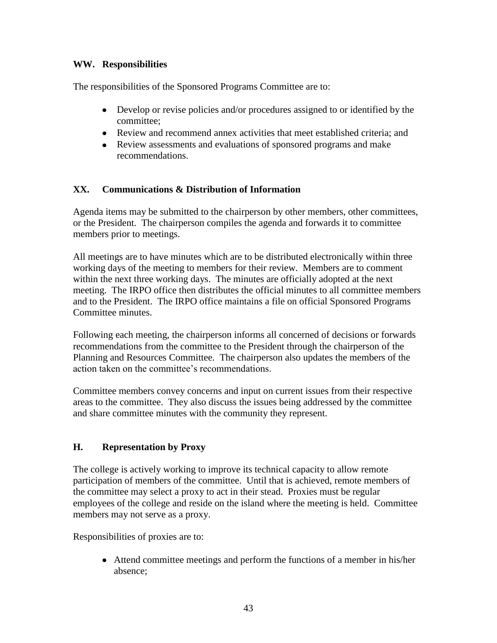## **WW. Responsibilities**

The responsibilities of the Sponsored Programs Committee are to:

- Develop or revise policies and/or procedures assigned to or identified by the  $\bullet$ committee;
- Review and recommend annex activities that meet established criteria; and
- Review assessments and evaluations of sponsored programs and make recommendations.

# **XX. Communications & Distribution of Information**

Agenda items may be submitted to the chairperson by other members, other committees, or the President. The chairperson compiles the agenda and forwards it to committee members prior to meetings.

All meetings are to have minutes which are to be distributed electronically within three working days of the meeting to members for their review. Members are to comment within the next three working days. The minutes are officially adopted at the next meeting. The IRPO office then distributes the official minutes to all committee members and to the President. The IRPO office maintains a file on official Sponsored Programs Committee minutes.

Following each meeting, the chairperson informs all concerned of decisions or forwards recommendations from the committee to the President through the chairperson of the Planning and Resources Committee*.* The chairperson also updates the members of the action taken on the committee's recommendations.

Committee members convey concerns and input on current issues from their respective areas to the committee. They also discuss the issues being addressed by the committee and share committee minutes with the community they represent.

# **H. Representation by Proxy**

The college is actively working to improve its technical capacity to allow remote participation of members of the committee. Until that is achieved, remote members of the committee may select a proxy to act in their stead. Proxies must be regular employees of the college and reside on the island where the meeting is held. Committee members may not serve as a proxy.

Responsibilities of proxies are to:

Attend committee meetings and perform the functions of a member in his/her absence;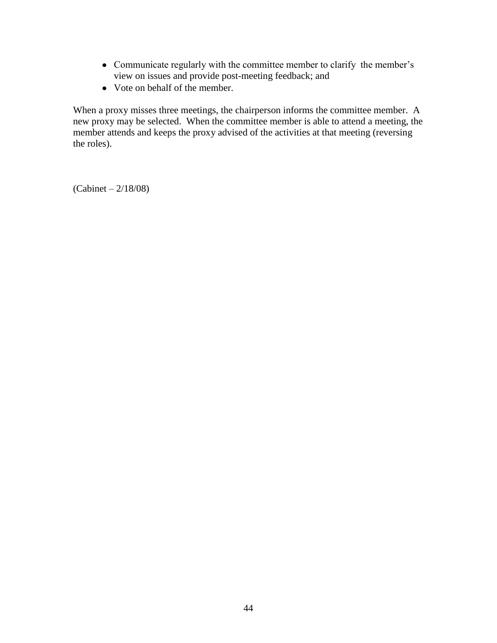- Communicate regularly with the committee member to clarify the member's view on issues and provide post-meeting feedback; and
- Vote on behalf of the member.

When a proxy misses three meetings, the chairperson informs the committee member. A new proxy may be selected. When the committee member is able to attend a meeting, the member attends and keeps the proxy advised of the activities at that meeting (reversing the roles).

(Cabinet – 2/18/08)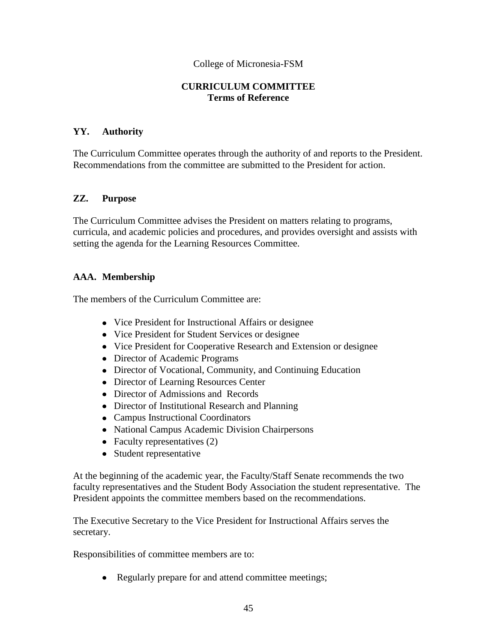#### **CURRICULUM COMMITTEE Terms of Reference**

### **YY. Authority**

The Curriculum Committee operates through the authority of and reports to the President. Recommendations from the committee are submitted to the President for action.

#### **ZZ. Purpose**

The Curriculum Committee advises the President on matters relating to programs, curricula, and academic policies and procedures, and provides oversight and assists with setting the agenda for the Learning Resources Committee.

### **AAA. Membership**

The members of the Curriculum Committee are:

- Vice President for Instructional Affairs or designee
- Vice President for Student Services or designee
- Vice President for Cooperative Research and Extension or designee
- Director of Academic Programs
- Director of Vocational, Community, and Continuing Education
- Director of Learning Resources Center
- Director of Admissions and Records
- Director of Institutional Research and Planning
- Campus Instructional Coordinators
- National Campus Academic Division Chairpersons
- Faculty representatives (2)
- Student representative

At the beginning of the academic year, the Faculty/Staff Senate recommends the two faculty representatives and the Student Body Association the student representative. The President appoints the committee members based on the recommendations.

The Executive Secretary to the Vice President for Instructional Affairs serves the secretary.

Responsibilities of committee members are to:

• Regularly prepare for and attend committee meetings;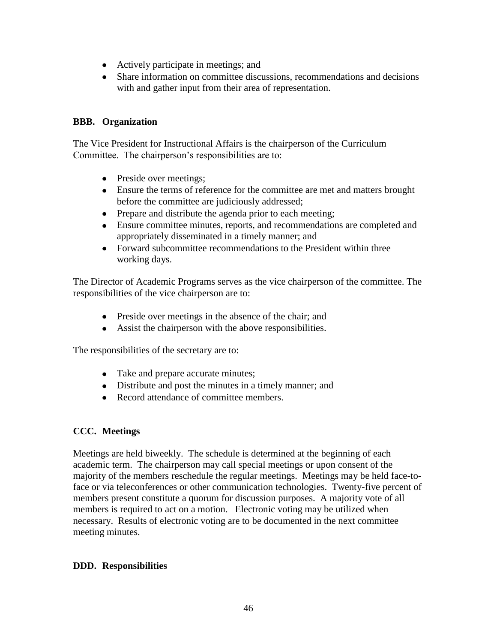- Actively participate in meetings; and
- Share information on committee discussions, recommendations and decisions with and gather input from their area of representation.

## **BBB. Organization**

The Vice President for Instructional Affairs is the chairperson of the Curriculum Committee. The chairperson's responsibilities are to:

- Preside over meetings;
- Ensure the terms of reference for the committee are met and matters brought before the committee are judiciously addressed;
- Prepare and distribute the agenda prior to each meeting;
- Ensure committee minutes, reports, and recommendations are completed and appropriately disseminated in a timely manner; and
- Forward subcommittee recommendations to the President within three working days.

The Director of Academic Programs serves as the vice chairperson of the committee. The responsibilities of the vice chairperson are to:

- Preside over meetings in the absence of the chair; and
- Assist the chairperson with the above responsibilities.

The responsibilities of the secretary are to:

- Take and prepare accurate minutes;
- Distribute and post the minutes in a timely manner; and
- Record attendance of committee members.

# **CCC. Meetings**

Meetings are held biweekly. The schedule is determined at the beginning of each academic term. The chairperson may call special meetings or upon consent of the majority of the members reschedule the regular meetings. Meetings may be held face-toface or via teleconferences or other communication technologies. Twenty-five percent of members present constitute a quorum for discussion purposes. A majority vote of all members is required to act on a motion. Electronic voting may be utilized when necessary. Results of electronic voting are to be documented in the next committee meeting minutes.

## **DDD. Responsibilities**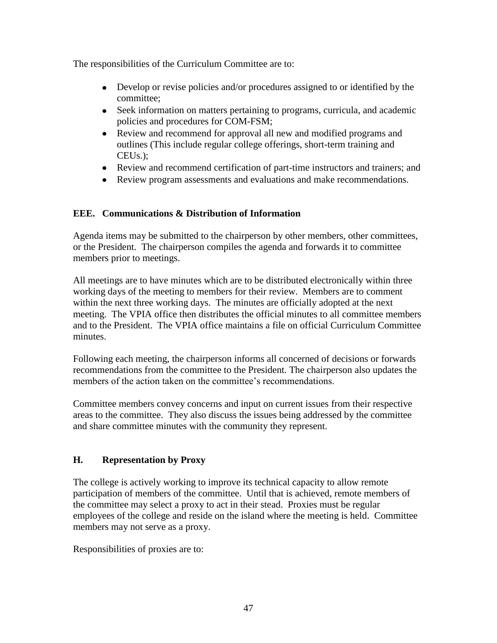The responsibilities of the Curriculum Committee are to:

- Develop or revise policies and/or procedures assigned to or identified by the committee;
- Seek information on matters pertaining to programs, curricula, and academic policies and procedures for COM-FSM;
- Review and recommend for approval all new and modified programs and outlines (This include regular college offerings, short-term training and CEUs.);
- Review and recommend certification of part-time instructors and trainers; and
- Review program assessments and evaluations and make recommendations.

# **EEE. Communications & Distribution of Information**

Agenda items may be submitted to the chairperson by other members, other committees, or the President. The chairperson compiles the agenda and forwards it to committee members prior to meetings.

All meetings are to have minutes which are to be distributed electronically within three working days of the meeting to members for their review. Members are to comment within the next three working days. The minutes are officially adopted at the next meeting. The VPIA office then distributes the official minutes to all committee members and to the President. The VPIA office maintains a file on official Curriculum Committee minutes.

Following each meeting, the chairperson informs all concerned of decisions or forwards recommendations from the committee to the President. The chairperson also updates the members of the action taken on the committee's recommendations.

Committee members convey concerns and input on current issues from their respective areas to the committee. They also discuss the issues being addressed by the committee and share committee minutes with the community they represent.

# **H. Representation by Proxy**

The college is actively working to improve its technical capacity to allow remote participation of members of the committee. Until that is achieved, remote members of the committee may select a proxy to act in their stead. Proxies must be regular employees of the college and reside on the island where the meeting is held. Committee members may not serve as a proxy.

Responsibilities of proxies are to: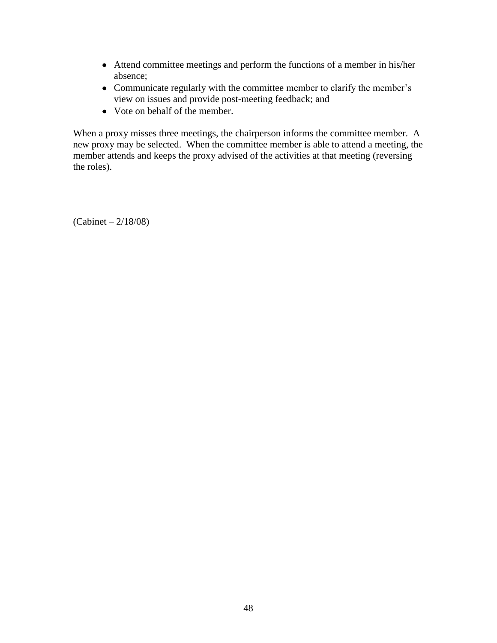- Attend committee meetings and perform the functions of a member in his/her absence;
- Communicate regularly with the committee member to clarify the member's view on issues and provide post-meeting feedback; and
- Vote on behalf of the member.

When a proxy misses three meetings, the chairperson informs the committee member. A new proxy may be selected. When the committee member is able to attend a meeting, the member attends and keeps the proxy advised of the activities at that meeting (reversing the roles).

(Cabinet – 2/18/08)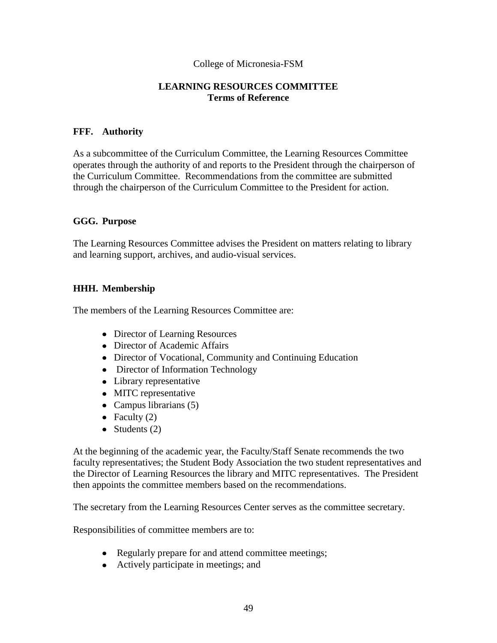#### **LEARNING RESOURCES COMMITTEE Terms of Reference**

#### **FFF. Authority**

As a subcommittee of the Curriculum Committee, the Learning Resources Committee operates through the authority of and reports to the President through the chairperson of the Curriculum Committee. Recommendations from the committee are submitted through the chairperson of the Curriculum Committee to the President for action.

#### **GGG. Purpose**

The Learning Resources Committee advises the President on matters relating to library and learning support, archives, and audio-visual services.

### **HHH. Membership**

The members of the Learning Resources Committee are:

- Director of Learning Resources
- Director of Academic Affairs
- Director of Vocational, Community and Continuing Education
- Director of Information Technology
- Library representative
- MITC representative
- Campus librarians (5)
- Faculty  $(2)$
- Students  $(2)$

At the beginning of the academic year, the Faculty/Staff Senate recommends the two faculty representatives; the Student Body Association the two student representatives and the Director of Learning Resources the library and MITC representatives. The President then appoints the committee members based on the recommendations.

The secretary from the Learning Resources Center serves as the committee secretary.

Responsibilities of committee members are to:

- Regularly prepare for and attend committee meetings;
- Actively participate in meetings; and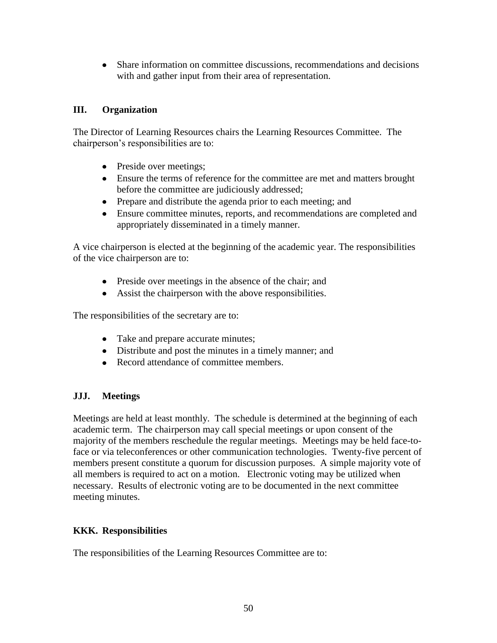Share information on committee discussions, recommendations and decisions with and gather input from their area of representation.

## **III. Organization**

The Director of Learning Resources chairs the Learning Resources Committee. The chairperson's responsibilities are to:

- Preside over meetings;
- Ensure the terms of reference for the committee are met and matters brought before the committee are judiciously addressed;
- Prepare and distribute the agenda prior to each meeting; and
- Ensure committee minutes, reports, and recommendations are completed and appropriately disseminated in a timely manner.

A vice chairperson is elected at the beginning of the academic year. The responsibilities of the vice chairperson are to:

- Preside over meetings in the absence of the chair; and
- Assist the chairperson with the above responsibilities.

The responsibilities of the secretary are to:

- Take and prepare accurate minutes;
- Distribute and post the minutes in a timely manner; and
- Record attendance of committee members

## **JJJ. Meetings**

Meetings are held at least monthly. The schedule is determined at the beginning of each academic term. The chairperson may call special meetings or upon consent of the majority of the members reschedule the regular meetings. Meetings may be held face-toface or via teleconferences or other communication technologies. Twenty-five percent of members present constitute a quorum for discussion purposes. A simple majority vote of all members is required to act on a motion. Electronic voting may be utilized when necessary. Results of electronic voting are to be documented in the next committee meeting minutes.

## **KKK. Responsibilities**

The responsibilities of the Learning Resources Committee are to: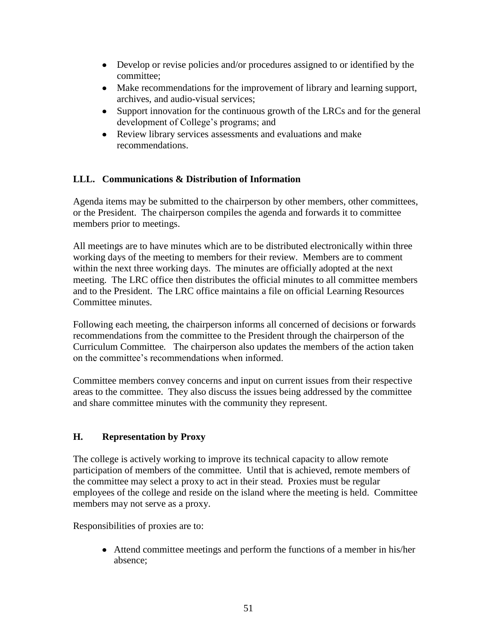- Develop or revise policies and/or procedures assigned to or identified by the committee;
- Make recommendations for the improvement of library and learning support, archives, and audio-visual services;
- Support innovation for the continuous growth of the LRCs and for the general development of College's programs; and
- Review library services assessments and evaluations and make recommendations.

# **LLL. Communications & Distribution of Information**

Agenda items may be submitted to the chairperson by other members, other committees, or the President. The chairperson compiles the agenda and forwards it to committee members prior to meetings.

All meetings are to have minutes which are to be distributed electronically within three working days of the meeting to members for their review. Members are to comment within the next three working days. The minutes are officially adopted at the next meeting. The LRC office then distributes the official minutes to all committee members and to the President. The LRC office maintains a file on official Learning Resources Committee minutes.

Following each meeting, the chairperson informs all concerned of decisions or forwards recommendations from the committee to the President through the chairperson of the Curriculum Committee*.* The chairperson also updates the members of the action taken on the committee's recommendations when informed.

Committee members convey concerns and input on current issues from their respective areas to the committee. They also discuss the issues being addressed by the committee and share committee minutes with the community they represent.

# **H. Representation by Proxy**

The college is actively working to improve its technical capacity to allow remote participation of members of the committee. Until that is achieved, remote members of the committee may select a proxy to act in their stead. Proxies must be regular employees of the college and reside on the island where the meeting is held. Committee members may not serve as a proxy.

Responsibilities of proxies are to:

Attend committee meetings and perform the functions of a member in his/her absence;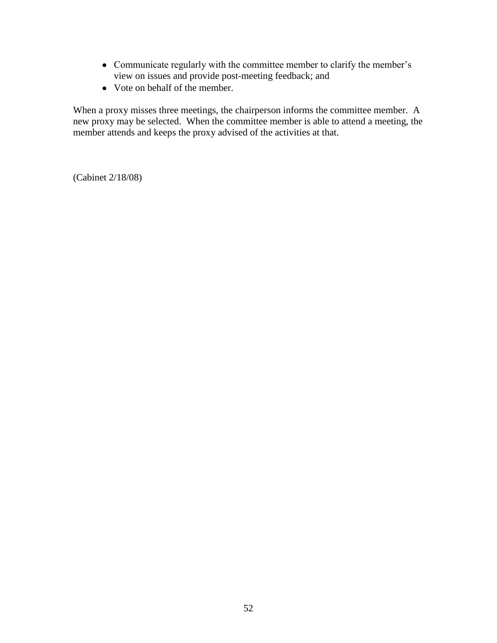- Communicate regularly with the committee member to clarify the member's view on issues and provide post-meeting feedback; and
- Vote on behalf of the member.

When a proxy misses three meetings, the chairperson informs the committee member. A new proxy may be selected. When the committee member is able to attend a meeting, the member attends and keeps the proxy advised of the activities at that.

(Cabinet 2/18/08)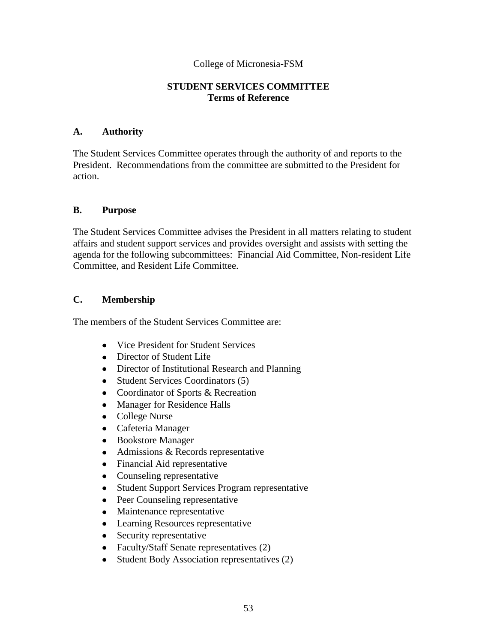#### **STUDENT SERVICES COMMITTEE Terms of Reference**

#### **A. Authority**

The Student Services Committee operates through the authority of and reports to the President. Recommendations from the committee are submitted to the President for action.

#### **B. Purpose**

The Student Services Committee advises the President in all matters relating to student affairs and student support services and provides oversight and assists with setting the agenda for the following subcommittees: Financial Aid Committee, Non-resident Life Committee, and Resident Life Committee.

#### **C. Membership**

The members of the Student Services Committee are:

- Vice President for Student Services
- Director of Student Life
- Director of Institutional Research and Planning
- $\bullet$ Student Services Coordinators (5)
- $\bullet$ Coordinator of Sports & Recreation
- Manager for Residence Halls  $\bullet$
- College Nurse
- Cafeteria Manager
- Bookstore Manager
- Admissions & Records representative
- Financial Aid representative
- Counseling representative  $\bullet$
- Student Support Services Program representative  $\bullet$
- Peer Counseling representative  $\bullet$
- Maintenance representative
- Learning Resources representative
- Security representative
- Faculty/Staff Senate representatives (2)
- Student Body Association representatives (2)  $\bullet$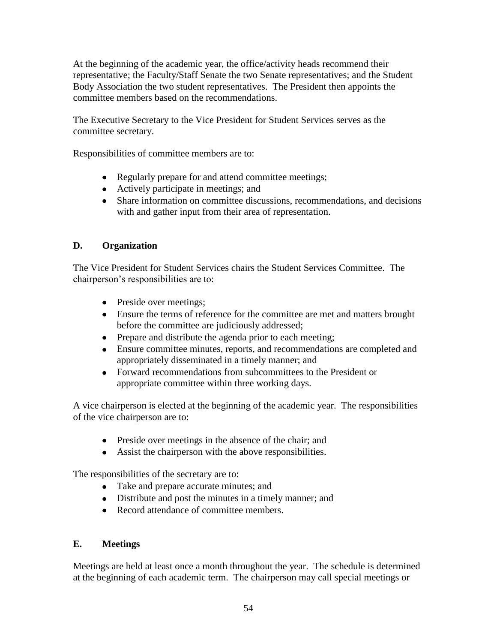At the beginning of the academic year, the office/activity heads recommend their representative; the Faculty/Staff Senate the two Senate representatives; and the Student Body Association the two student representatives. The President then appoints the committee members based on the recommendations.

The Executive Secretary to the Vice President for Student Services serves as the committee secretary.

Responsibilities of committee members are to:

- Regularly prepare for and attend committee meetings;
- Actively participate in meetings; and
- Share information on committee discussions, recommendations, and decisions with and gather input from their area of representation.

## **D. Organization**

The Vice President for Student Services chairs the Student Services Committee. The chairperson's responsibilities are to:

- Preside over meetings;
- Ensure the terms of reference for the committee are met and matters brought before the committee are judiciously addressed;
- Prepare and distribute the agenda prior to each meeting;
- Ensure committee minutes, reports, and recommendations are completed and appropriately disseminated in a timely manner; and
- Forward recommendations from subcommittees to the President or appropriate committee within three working days.

A vice chairperson is elected at the beginning of the academic year. The responsibilities of the vice chairperson are to:

- Preside over meetings in the absence of the chair; and
- Assist the chairperson with the above responsibilities.

The responsibilities of the secretary are to:

- Take and prepare accurate minutes; and
- Distribute and post the minutes in a timely manner; and
- Record attendance of committee members.

## **E. Meetings**

Meetings are held at least once a month throughout the year. The schedule is determined at the beginning of each academic term. The chairperson may call special meetings or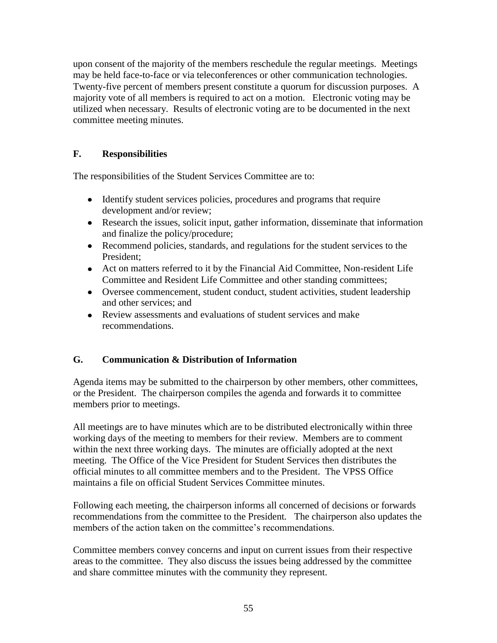upon consent of the majority of the members reschedule the regular meetings. Meetings may be held face-to-face or via teleconferences or other communication technologies. Twenty-five percent of members present constitute a quorum for discussion purposes. A majority vote of all members is required to act on a motion. Electronic voting may be utilized when necessary. Results of electronic voting are to be documented in the next committee meeting minutes.

## **F. Responsibilities**

The responsibilities of the Student Services Committee are to:

- Identify student services policies, procedures and programs that require development and/or review;
- Research the issues, solicit input, gather information, disseminate that information and finalize the policy/procedure;
- Recommend policies, standards, and regulations for the student services to the President;
- Act on matters referred to it by the Financial Aid Committee, Non-resident Life Committee and Resident Life Committee and other standing committees;
- Oversee commencement, student conduct, student activities, student leadership and other services; and
- Review assessments and evaluations of student services and make recommendations.

## **G. Communication & Distribution of Information**

Agenda items may be submitted to the chairperson by other members, other committees, or the President. The chairperson compiles the agenda and forwards it to committee members prior to meetings.

All meetings are to have minutes which are to be distributed electronically within three working days of the meeting to members for their review. Members are to comment within the next three working days. The minutes are officially adopted at the next meeting. The Office of the Vice President for Student Services then distributes the official minutes to all committee members and to the President. The VPSS Office maintains a file on official Student Services Committee minutes.

Following each meeting, the chairperson informs all concerned of decisions or forwards recommendations from the committee to the President*.* The chairperson also updates the members of the action taken on the committee's recommendations.

Committee members convey concerns and input on current issues from their respective areas to the committee. They also discuss the issues being addressed by the committee and share committee minutes with the community they represent.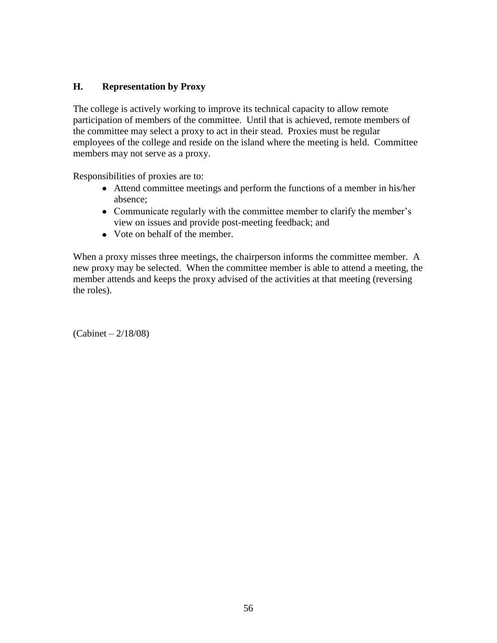## **H. Representation by Proxy**

The college is actively working to improve its technical capacity to allow remote participation of members of the committee. Until that is achieved, remote members of the committee may select a proxy to act in their stead. Proxies must be regular employees of the college and reside on the island where the meeting is held. Committee members may not serve as a proxy.

Responsibilities of proxies are to:

- Attend committee meetings and perform the functions of a member in his/her absence;
- Communicate regularly with the committee member to clarify the member's view on issues and provide post-meeting feedback; and
- Vote on behalf of the member.

When a proxy misses three meetings, the chairperson informs the committee member. A new proxy may be selected. When the committee member is able to attend a meeting, the member attends and keeps the proxy advised of the activities at that meeting (reversing the roles).

(Cabinet – 2/18/08)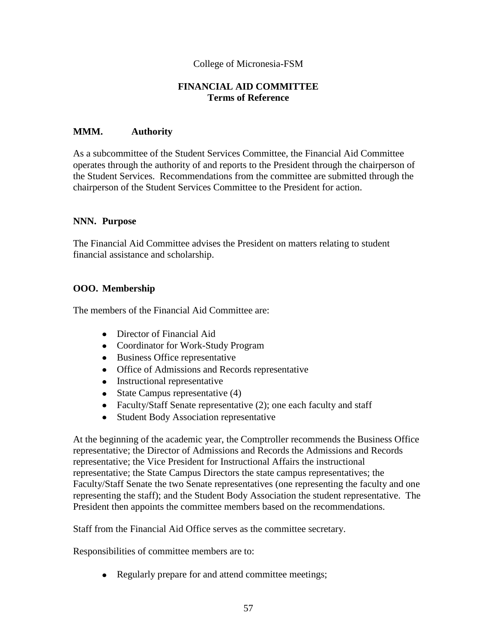#### **FINANCIAL AID COMMITTEE Terms of Reference**

#### **MMM. Authority**

As a subcommittee of the Student Services Committee, the Financial Aid Committee operates through the authority of and reports to the President through the chairperson of the Student Services. Recommendations from the committee are submitted through the chairperson of the Student Services Committee to the President for action.

#### **NNN. Purpose**

The Financial Aid Committee advises the President on matters relating to student financial assistance and scholarship.

### **OOO. Membership**

The members of the Financial Aid Committee are:

- Director of Financial Aid
- Coordinator for Work-Study Program
- Business Office representative
- Office of Admissions and Records representative
- Instructional representative
- State Campus representative  $(4)$
- Faculty/Staff Senate representative (2); one each faculty and staff
- Student Body Association representative  $\bullet$

At the beginning of the academic year, the Comptroller recommends the Business Office representative; the Director of Admissions and Records the Admissions and Records representative; the Vice President for Instructional Affairs the instructional representative; the State Campus Directors the state campus representatives; the Faculty/Staff Senate the two Senate representatives (one representing the faculty and one representing the staff); and the Student Body Association the student representative. The President then appoints the committee members based on the recommendations.

Staff from the Financial Aid Office serves as the committee secretary.

Responsibilities of committee members are to:

• Regularly prepare for and attend committee meetings;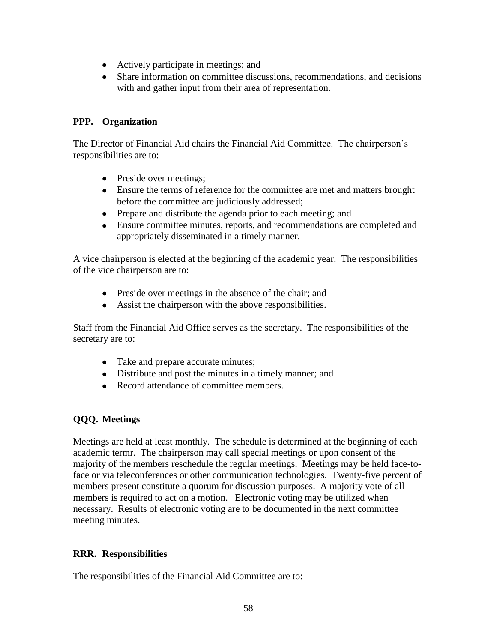- Actively participate in meetings; and
- Share information on committee discussions, recommendations, and decisions with and gather input from their area of representation.

#### **PPP. Organization**

The Director of Financial Aid chairs the Financial Aid Committee. The chairperson's responsibilities are to:

- Preside over meetings;
- Ensure the terms of reference for the committee are met and matters brought before the committee are judiciously addressed;
- Prepare and distribute the agenda prior to each meeting; and
- Ensure committee minutes, reports, and recommendations are completed and appropriately disseminated in a timely manner.

A vice chairperson is elected at the beginning of the academic year. The responsibilities of the vice chairperson are to:

- Preside over meetings in the absence of the chair; and
- Assist the chairperson with the above responsibilities.

Staff from the Financial Aid Office serves as the secretary. The responsibilities of the secretary are to:

- Take and prepare accurate minutes;
- Distribute and post the minutes in a timely manner; and
- Record attendance of committee members.

## **QQQ. Meetings**

Meetings are held at least monthly. The schedule is determined at the beginning of each academic termr. The chairperson may call special meetings or upon consent of the majority of the members reschedule the regular meetings. Meetings may be held face-toface or via teleconferences or other communication technologies. Twenty-five percent of members present constitute a quorum for discussion purposes. A majority vote of all members is required to act on a motion. Electronic voting may be utilized when necessary. Results of electronic voting are to be documented in the next committee meeting minutes.

## **RRR. Responsibilities**

The responsibilities of the Financial Aid Committee are to: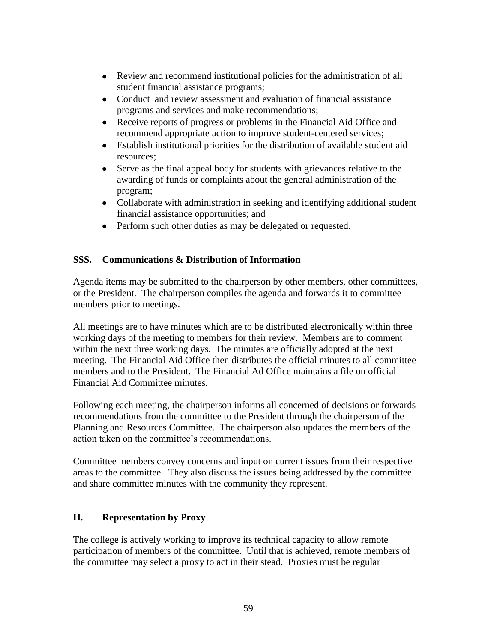- Review and recommend institutional policies for the administration of all student financial assistance programs;
- Conduct and review assessment and evaluation of financial assistance  $\bullet$ programs and services and make recommendations;
- Receive reports of progress or problems in the Financial Aid Office and  $\bullet$ recommend appropriate action to improve student-centered services;
- Establish institutional priorities for the distribution of available student aid resources;
- $\bullet$ Serve as the final appeal body for students with grievances relative to the awarding of funds or complaints about the general administration of the program;
- Collaborate with administration in seeking and identifying additional student financial assistance opportunities; and
- Perform such other duties as may be delegated or requested.

# **SSS. Communications & Distribution of Information**

Agenda items may be submitted to the chairperson by other members, other committees, or the President. The chairperson compiles the agenda and forwards it to committee members prior to meetings.

All meetings are to have minutes which are to be distributed electronically within three working days of the meeting to members for their review. Members are to comment within the next three working days. The minutes are officially adopted at the next meeting. The Financial Aid Office then distributes the official minutes to all committee members and to the President. The Financial Ad Office maintains a file on official Financial Aid Committee minutes.

Following each meeting, the chairperson informs all concerned of decisions or forwards recommendations from the committee to the President through the chairperson of the Planning and Resources Committee. The chairperson also updates the members of the action taken on the committee's recommendations.

Committee members convey concerns and input on current issues from their respective areas to the committee. They also discuss the issues being addressed by the committee and share committee minutes with the community they represent.

## **H. Representation by Proxy**

The college is actively working to improve its technical capacity to allow remote participation of members of the committee. Until that is achieved, remote members of the committee may select a proxy to act in their stead. Proxies must be regular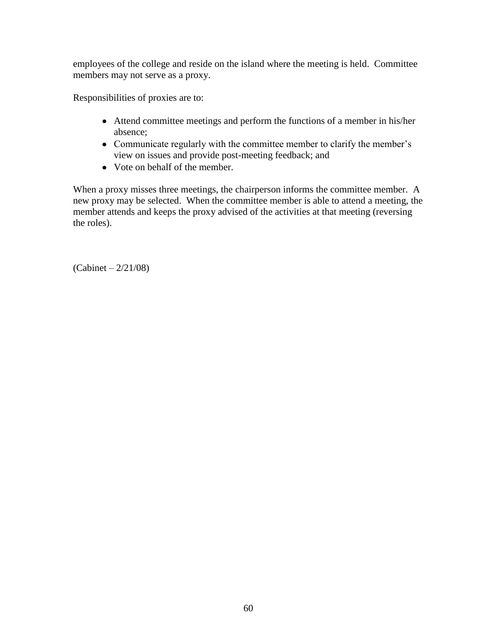employees of the college and reside on the island where the meeting is held. Committee members may not serve as a proxy.

Responsibilities of proxies are to:

- Attend committee meetings and perform the functions of a member in his/her absence;
- Communicate regularly with the committee member to clarify the member's view on issues and provide post-meeting feedback; and
- Vote on behalf of the member.

When a proxy misses three meetings, the chairperson informs the committee member. A new proxy may be selected. When the committee member is able to attend a meeting, the member attends and keeps the proxy advised of the activities at that meeting (reversing the roles).

(Cabinet – 2/21/08)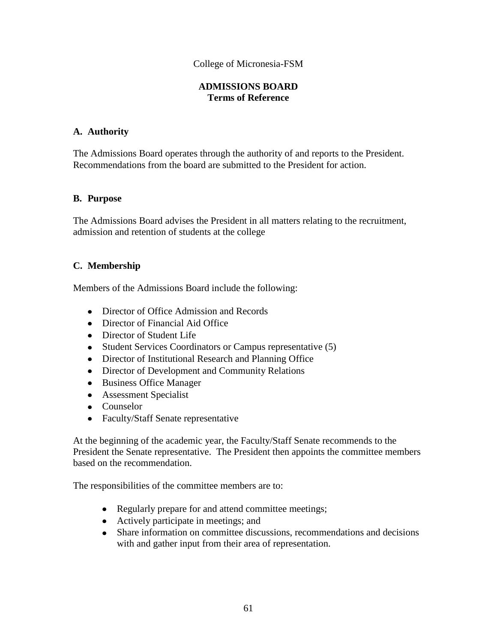### **ADMISSIONS BOARD Terms of Reference**

#### **A. Authority**

The Admissions Board operates through the authority of and reports to the President. Recommendations from the board are submitted to the President for action.

#### **B. Purpose**

The Admissions Board advises the President in all matters relating to the recruitment, admission and retention of students at the college

### **C. Membership**

Members of the Admissions Board include the following:

- Director of Office Admission and Records
- Director of Financial Aid Office
- Director of Student Life
- Student Services Coordinators or Campus representative (5)
- Director of Institutional Research and Planning Office
- Director of Development and Community Relations
- Business Office Manager
- Assessment Specialist
- Counselor
- Faculty/Staff Senate representative

At the beginning of the academic year, the Faculty/Staff Senate recommends to the President the Senate representative. The President then appoints the committee members based on the recommendation.

The responsibilities of the committee members are to:

- Regularly prepare for and attend committee meetings;
- Actively participate in meetings; and
- Share information on committee discussions, recommendations and decisions with and gather input from their area of representation.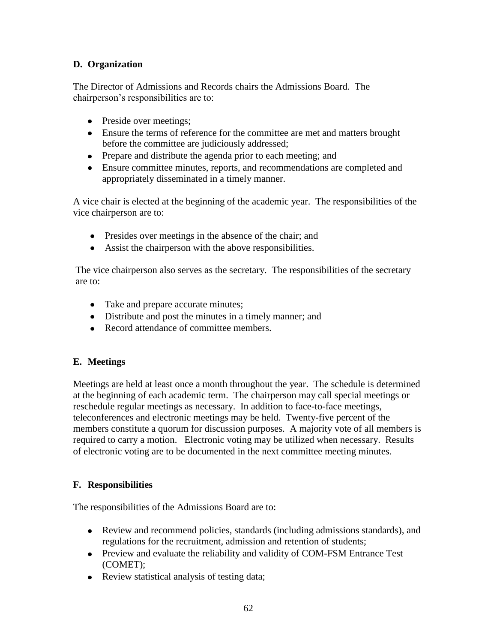# **D. Organization**

The Director of Admissions and Records chairs the Admissions Board. The chairperson's responsibilities are to:

- Preside over meetings;
- Ensure the terms of reference for the committee are met and matters brought before the committee are judiciously addressed;
- Prepare and distribute the agenda prior to each meeting; and
- Ensure committee minutes, reports, and recommendations are completed and appropriately disseminated in a timely manner.

A vice chair is elected at the beginning of the academic year. The responsibilities of the vice chairperson are to:

- Presides over meetings in the absence of the chair; and
- Assist the chairperson with the above responsibilities.

The vice chairperson also serves as the secretary. The responsibilities of the secretary are to:

- Take and prepare accurate minutes;
- Distribute and post the minutes in a timely manner; and
- Record attendance of committee members.

## **E. Meetings**

Meetings are held at least once a month throughout the year. The schedule is determined at the beginning of each academic term. The chairperson may call special meetings or reschedule regular meetings as necessary. In addition to face-to-face meetings, teleconferences and electronic meetings may be held. Twenty-five percent of the members constitute a quorum for discussion purposes. A majority vote of all members is required to carry a motion. Electronic voting may be utilized when necessary. Results of electronic voting are to be documented in the next committee meeting minutes.

#### **F. Responsibilities**

The responsibilities of the Admissions Board are to:

- Review and recommend policies, standards (including admissions standards), and regulations for the recruitment, admission and retention of students;
- Preview and evaluate the reliability and validity of COM-FSM Entrance Test (COMET);
- Review statistical analysis of testing data;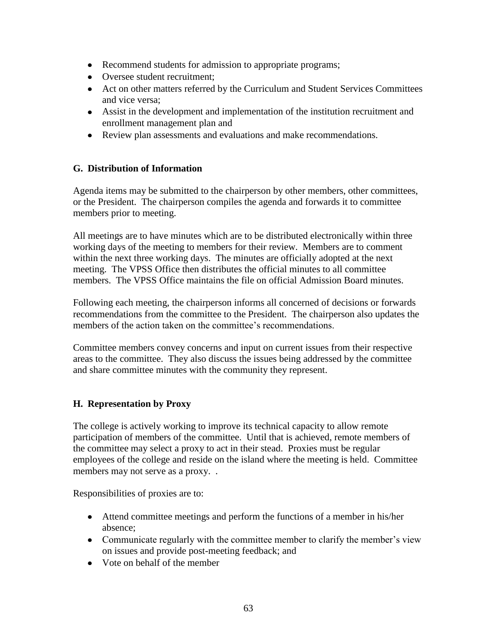- Recommend students for admission to appropriate programs;
- Oversee student recruitment;
- Act on other matters referred by the Curriculum and Student Services Committees and vice versa;
- Assist in the development and implementation of the institution recruitment and enrollment management plan and
- Review plan assessments and evaluations and make recommendations.

# **G. Distribution of Information**

Agenda items may be submitted to the chairperson by other members, other committees, or the President. The chairperson compiles the agenda and forwards it to committee members prior to meeting.

All meetings are to have minutes which are to be distributed electronically within three working days of the meeting to members for their review. Members are to comment within the next three working days. The minutes are officially adopted at the next meeting. The VPSS Office then distributes the official minutes to all committee members. The VPSS Office maintains the file on official Admission Board minutes.

Following each meeting, the chairperson informs all concerned of decisions or forwards recommendations from the committee to the President. The chairperson also updates the members of the action taken on the committee's recommendations.

Committee members convey concerns and input on current issues from their respective areas to the committee. They also discuss the issues being addressed by the committee and share committee minutes with the community they represent.

# **H. Representation by Proxy**

The college is actively working to improve its technical capacity to allow remote participation of members of the committee. Until that is achieved, remote members of the committee may select a proxy to act in their stead. Proxies must be regular employees of the college and reside on the island where the meeting is held. Committee members may not serve as a proxy...

Responsibilities of proxies are to:

- Attend committee meetings and perform the functions of a member in his/her absence;
- Communicate regularly with the committee member to clarify the member's view on issues and provide post-meeting feedback; and
- Vote on behalf of the member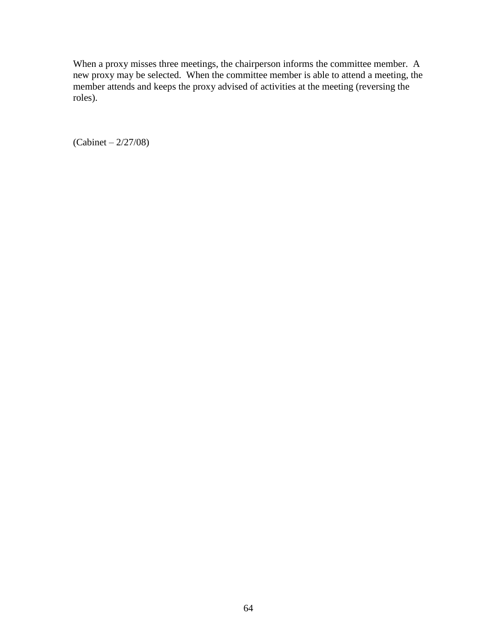When a proxy misses three meetings, the chairperson informs the committee member. A new proxy may be selected. When the committee member is able to attend a meeting, the member attends and keeps the proxy advised of activities at the meeting (reversing the roles).

(Cabinet – 2/27/08)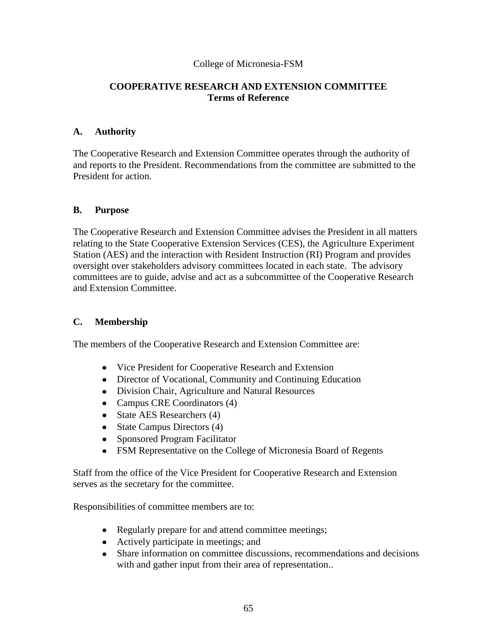#### **COOPERATIVE RESEARCH AND EXTENSION COMMITTEE Terms of Reference**

#### **A. Authority**

The Cooperative Research and Extension Committee operates through the authority of and reports to the President. Recommendations from the committee are submitted to the President for action.

#### **B. Purpose**

The Cooperative Research and Extension Committee advises the President in all matters relating to the State Cooperative Extension Services (CES), the Agriculture Experiment Station (AES) and the interaction with Resident Instruction (RI) Program and provides oversight over stakeholders advisory committees located in each state. The advisory committees are to guide, advise and act as a subcommittee of the Cooperative Research and Extension Committee.

## **C. Membership**

The members of the Cooperative Research and Extension Committee are:

- Vice President for Cooperative Research and Extension
- Director of Vocational, Community and Continuing Education
- Division Chair, Agriculture and Natural Resources
- Campus CRE Coordinators (4)
- State AES Researchers (4)
- State Campus Directors (4)
- Sponsored Program Facilitator
- FSM Representative on the College of Micronesia Board of Regents

Staff from the office of the Vice President for Cooperative Research and Extension serves as the secretary for the committee.

Responsibilities of committee members are to:

- Regularly prepare for and attend committee meetings;
- Actively participate in meetings; and
- Share information on committee discussions, recommendations and decisions with and gather input from their area of representation..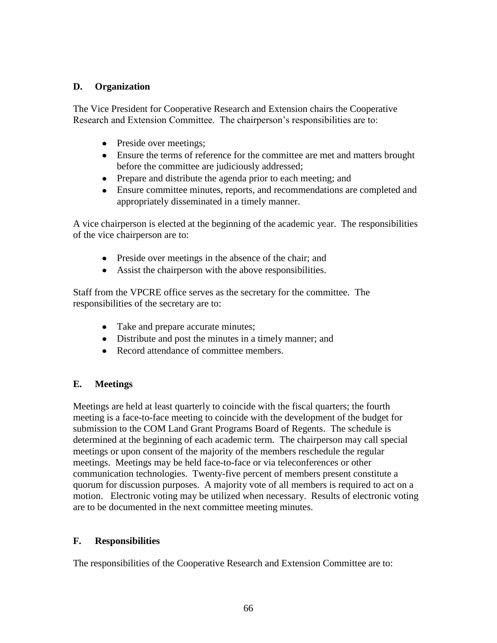### **D. Organization**

The Vice President for Cooperative Research and Extension chairs the Cooperative Research and Extension Committee. The chairperson's responsibilities are to:

- Preside over meetings;
- Ensure the terms of reference for the committee are met and matters brought before the committee are judiciously addressed;
- Prepare and distribute the agenda prior to each meeting; and
- Ensure committee minutes, reports, and recommendations are completed and appropriately disseminated in a timely manner.

A vice chairperson is elected at the beginning of the academic year. The responsibilities of the vice chairperson are to:

- Preside over meetings in the absence of the chair; and
- Assist the chairperson with the above responsibilities.

Staff from the VPCRE office serves as the secretary for the committee.The responsibilities of the secretary are to:

- Take and prepare accurate minutes;
- Distribute and post the minutes in a timely manner; and
- Record attendance of committee members.

## **E. Meetings**

Meetings are held at least quarterly to coincide with the fiscal quarters; the fourth meeting is a face-to-face meeting to coincide with the development of the budget for submission to the COM Land Grant Programs Board of Regents. The schedule is determined at the beginning of each academic term. The chairperson may call special meetings or upon consent of the majority of the members reschedule the regular meetings. Meetings may be held face-to-face or via teleconferences or other communication technologies. Twenty-five percent of members present constitute a quorum for discussion purposes. A majority vote of all members is required to act on a motion. Electronic voting may be utilized when necessary. Results of electronic voting are to be documented in the next committee meeting minutes.

#### **F. Responsibilities**

The responsibilities of the Cooperative Research and Extension Committee are to: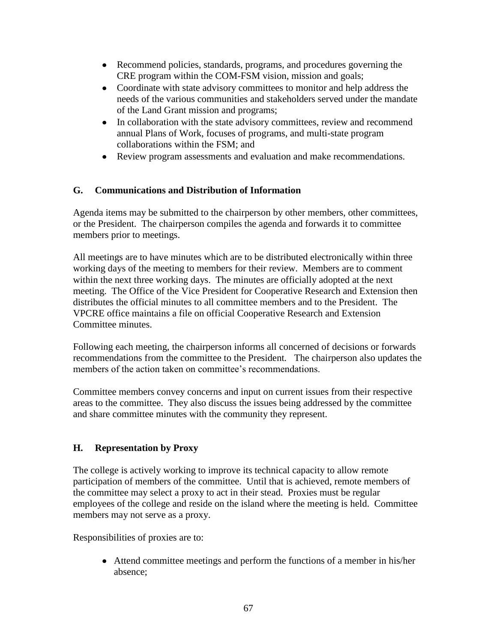- Recommend policies, standards, programs, and procedures governing the CRE program within the COM-FSM vision, mission and goals;
- Coordinate with state advisory committees to monitor and help address the needs of the various communities and stakeholders served under the mandate of the Land Grant mission and programs;
- In collaboration with the state advisory committees, review and recommend  $\bullet$ annual Plans of Work, focuses of programs, and multi-state program collaborations within the FSM; and
- Review program assessments and evaluation and make recommendations.  $\bullet$

# **G. Communications and Distribution of Information**

Agenda items may be submitted to the chairperson by other members, other committees, or the President. The chairperson compiles the agenda and forwards it to committee members prior to meetings.

All meetings are to have minutes which are to be distributed electronically within three working days of the meeting to members for their review. Members are to comment within the next three working days. The minutes are officially adopted at the next meeting. The Office of the Vice President for Cooperative Research and Extension then distributes the official minutes to all committee members and to the President. The VPCRE office maintains a file on official Cooperative Research and Extension Committee minutes.

Following each meeting, the chairperson informs all concerned of decisions or forwards recommendations from the committee to the President*.* The chairperson also updates the members of the action taken on committee's recommendations.

Committee members convey concerns and input on current issues from their respective areas to the committee. They also discuss the issues being addressed by the committee and share committee minutes with the community they represent.

## **H. Representation by Proxy**

The college is actively working to improve its technical capacity to allow remote participation of members of the committee. Until that is achieved, remote members of the committee may select a proxy to act in their stead. Proxies must be regular employees of the college and reside on the island where the meeting is held. Committee members may not serve as a proxy.

Responsibilities of proxies are to:

Attend committee meetings and perform the functions of a member in his/her absence;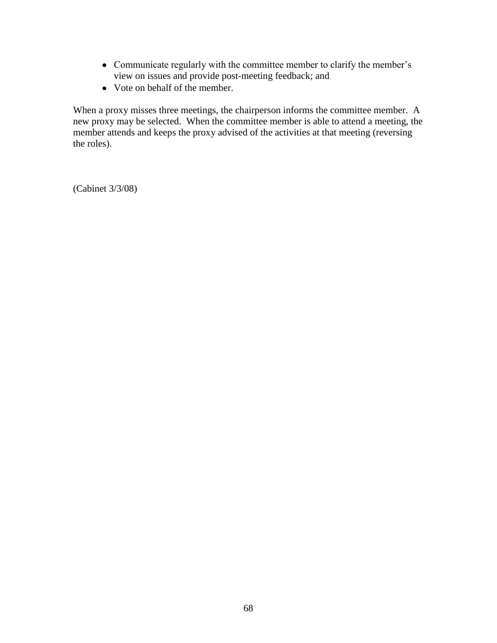- Communicate regularly with the committee member to clarify the member's view on issues and provide post-meeting feedback; and
- Vote on behalf of the member.

When a proxy misses three meetings, the chairperson informs the committee member. A new proxy may be selected. When the committee member is able to attend a meeting, the member attends and keeps the proxy advised of the activities at that meeting (reversing the roles).

(Cabinet 3/3/08)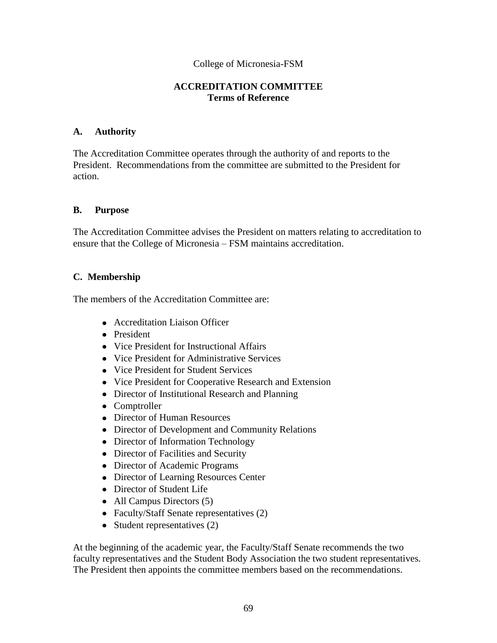#### **ACCREDITATION COMMITTEE Terms of Reference**

#### **A. Authority**

The Accreditation Committee operates through the authority of and reports to the President. Recommendations from the committee are submitted to the President for action.

#### **B. Purpose**

The Accreditation Committee advises the President on matters relating to accreditation to ensure that the College of Micronesia – FSM maintains accreditation.

#### **C. Membership**

The members of the Accreditation Committee are:

- Accreditation Liaison Officer
- President
- Vice President for Instructional Affairs
- Vice President for Administrative Services
- Vice President for Student Services
- Vice President for Cooperative Research and Extension
- Director of Institutional Research and Planning
- Comptroller
- Director of Human Resources
- Director of Development and Community Relations
- Director of Information Technology
- Director of Facilities and Security
- Director of Academic Programs
- Director of Learning Resources Center
- Director of Student Life
- All Campus Directors (5)
- Faculty/Staff Senate representatives (2)
- Student representatives  $(2)$

At the beginning of the academic year, the Faculty/Staff Senate recommends the two faculty representatives and the Student Body Association the two student representatives*.* The President then appoints the committee members based on the recommendations.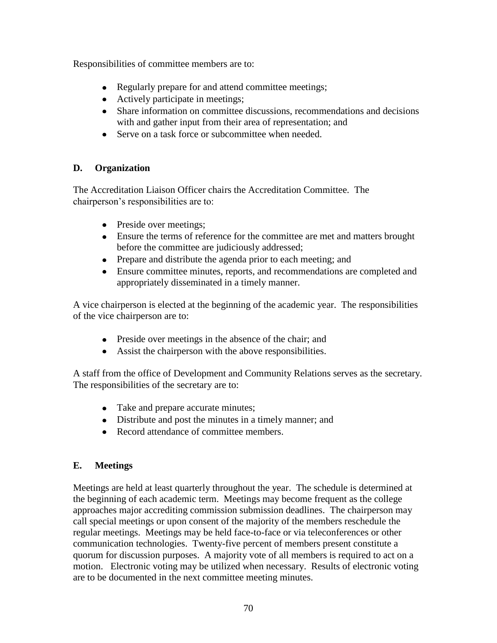Responsibilities of committee members are to:

- Regularly prepare for and attend committee meetings;
- Actively participate in meetings;
- Share information on committee discussions, recommendations and decisions with and gather input from their area of representation; and
- Serve on a task force or subcommittee when needed.

# **D. Organization**

The Accreditation Liaison Officer chairs the Accreditation Committee. The chairperson's responsibilities are to:

- Preside over meetings;
- Ensure the terms of reference for the committee are met and matters brought before the committee are judiciously addressed;
- Prepare and distribute the agenda prior to each meeting; and
- Ensure committee minutes, reports, and recommendations are completed and appropriately disseminated in a timely manner.

A vice chairperson is elected at the beginning of the academic year. The responsibilities of the vice chairperson are to:

- Preside over meetings in the absence of the chair; and
- Assist the chairperson with the above responsibilities.

A staff from the office of Development and Community Relations serves as the secretary*.*  The responsibilities of the secretary are to:

- Take and prepare accurate minutes;
- Distribute and post the minutes in a timely manner; and
- Record attendance of committee members.

## **E. Meetings**

Meetings are held at least quarterly throughout the year. The schedule is determined at the beginning of each academic term. Meetings may become frequent as the college approaches major accrediting commission submission deadlines. The chairperson may call special meetings or upon consent of the majority of the members reschedule the regular meetings. Meetings may be held face-to-face or via teleconferences or other communication technologies. Twenty-five percent of members present constitute a quorum for discussion purposes. A majority vote of all members is required to act on a motion. Electronic voting may be utilized when necessary. Results of electronic voting are to be documented in the next committee meeting minutes.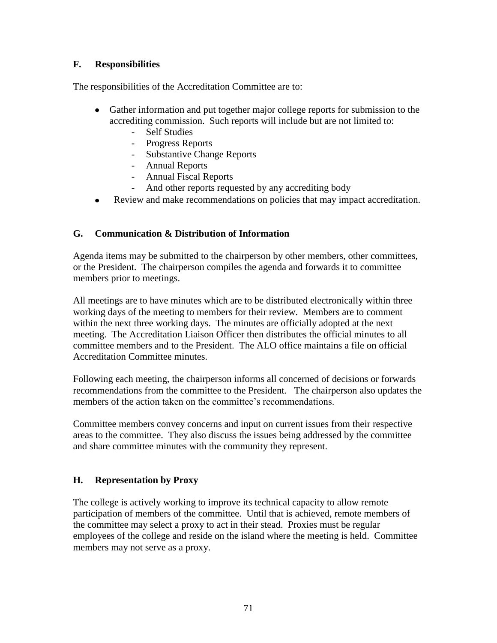# **F. Responsibilities**

The responsibilities of the Accreditation Committee are to:

- Gather information and put together major college reports for submission to the accrediting commission. Such reports will include but are not limited to:
	- Self Studies
	- Progress Reports
	- Substantive Change Reports
	- Annual Reports
	- Annual Fiscal Reports
	- And other reports requested by any accrediting body
- Review and make recommendations on policies that may impact accreditation.  $\bullet$

## **G. Communication & Distribution of Information**

Agenda items may be submitted to the chairperson by other members, other committees, or the President. The chairperson compiles the agenda and forwards it to committee members prior to meetings.

All meetings are to have minutes which are to be distributed electronically within three working days of the meeting to members for their review. Members are to comment within the next three working days. The minutes are officially adopted at the next meeting. The Accreditation Liaison Officer then distributes the official minutes to all committee members and to the President. The ALO office maintains a file on official Accreditation Committee minutes.

Following each meeting, the chairperson informs all concerned of decisions or forwards recommendations from the committee to the President*.* The chairperson also updates the members of the action taken on the committee's recommendations.

Committee members convey concerns and input on current issues from their respective areas to the committee. They also discuss the issues being addressed by the committee and share committee minutes with the community they represent.

## **H. Representation by Proxy**

The college is actively working to improve its technical capacity to allow remote participation of members of the committee. Until that is achieved, remote members of the committee may select a proxy to act in their stead. Proxies must be regular employees of the college and reside on the island where the meeting is held. Committee members may not serve as a proxy.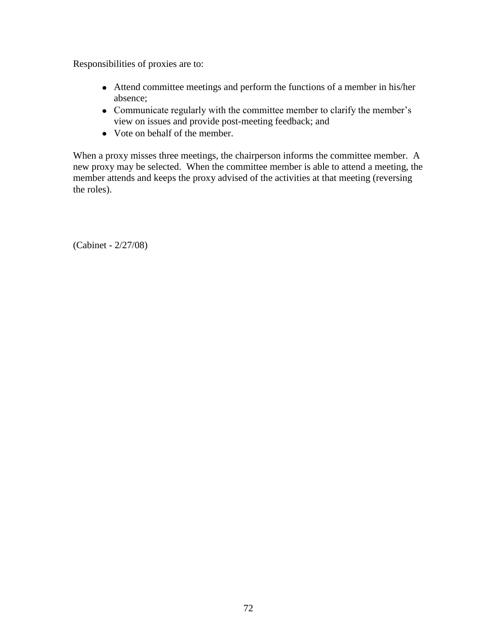Responsibilities of proxies are to:

- Attend committee meetings and perform the functions of a member in his/her absence;
- Communicate regularly with the committee member to clarify the member's view on issues and provide post-meeting feedback; and
- Vote on behalf of the member.

When a proxy misses three meetings, the chairperson informs the committee member. A new proxy may be selected. When the committee member is able to attend a meeting, the member attends and keeps the proxy advised of the activities at that meeting (reversing the roles).

(Cabinet - 2/27/08)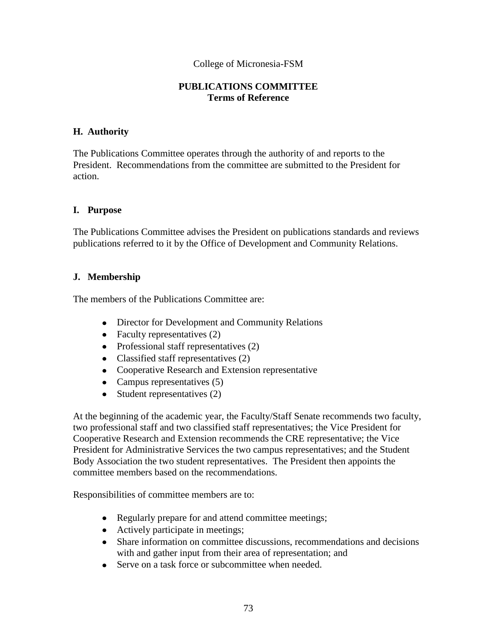### College of Micronesia-FSM

### **PUBLICATIONS COMMITTEE Terms of Reference**

### **H. Authority**

The Publications Committee operates through the authority of and reports to the President. Recommendations from the committee are submitted to the President for action.

#### **I. Purpose**

The Publications Committee advises the President on publications standards and reviews publications referred to it by the Office of Development and Community Relations.

### **J. Membership**

The members of the Publications Committee are:

- Director for Development and Community Relations
- Faculty representatives  $(2)$
- Professional staff representatives (2)
- Classified staff representatives (2)
- Cooperative Research and Extension representative
- Campus representatives  $(5)$
- Student representatives  $(2)$

At the beginning of the academic year, the Faculty/Staff Senate recommends two faculty, two professional staff and two classified staff representatives; the Vice President for Cooperative Research and Extension recommends the CRE representative; the Vice President for Administrative Services the two campus representatives; and the Student Body Association the two student representatives. The President then appoints the committee members based on the recommendations.

Responsibilities of committee members are to:

- Regularly prepare for and attend committee meetings;
- Actively participate in meetings;
- Share information on committee discussions, recommendations and decisions with and gather input from their area of representation; and
- Serve on a task force or subcommittee when needed.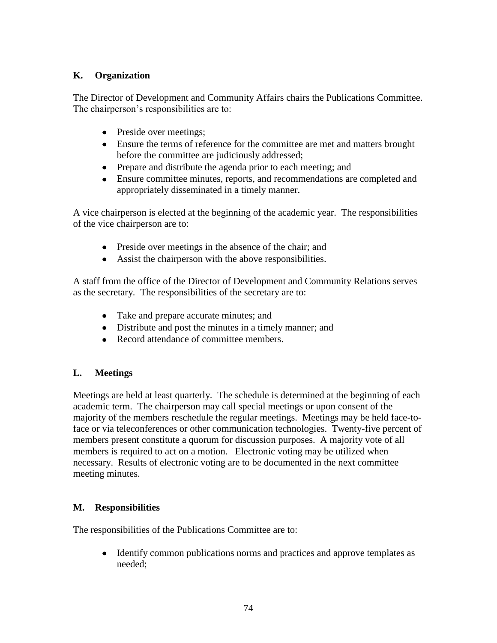## **K. Organization**

The Director of Development and Community Affairs chairs the Publications Committee. The chairperson's responsibilities are to:

- Preside over meetings;
- Ensure the terms of reference for the committee are met and matters brought before the committee are judiciously addressed;
- Prepare and distribute the agenda prior to each meeting; and
- Ensure committee minutes, reports, and recommendations are completed and appropriately disseminated in a timely manner.

A vice chairperson is elected at the beginning of the academic year. The responsibilities of the vice chairperson are to:

- Preside over meetings in the absence of the chair; and
- Assist the chairperson with the above responsibilities.

A staff from the office of the Director of Development and Community Relations serves as the secretary*.* The responsibilities of the secretary are to:

- Take and prepare accurate minutes; and
- Distribute and post the minutes in a timely manner; and
- Record attendance of committee members.

# **L. Meetings**

Meetings are held at least quarterly*.* The schedule is determined at the beginning of each academic term. The chairperson may call special meetings or upon consent of the majority of the members reschedule the regular meetings. Meetings may be held face-toface or via teleconferences or other communication technologies. Twenty-five percent of members present constitute a quorum for discussion purposes. A majority vote of all members is required to act on a motion. Electronic voting may be utilized when necessary. Results of electronic voting are to be documented in the next committee meeting minutes.

# **M. Responsibilities**

The responsibilities of the Publications Committee are to:

 $\bullet$ Identify common publications norms and practices and approve templates as needed;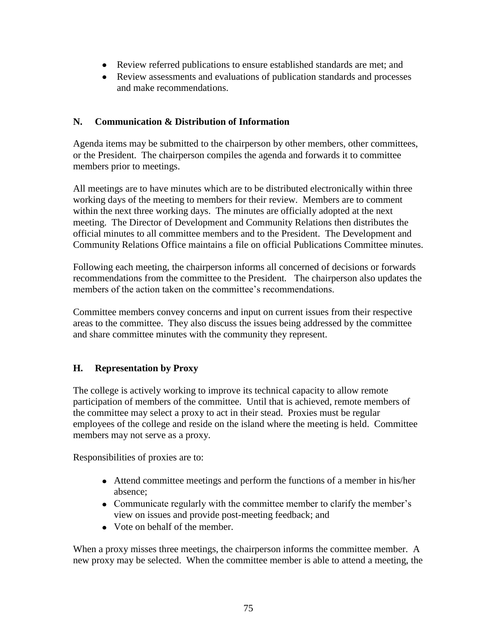- Review referred publications to ensure established standards are met; and
- Review assessments and evaluations of publication standards and processes and make recommendations.

### **N. Communication & Distribution of Information**

Agenda items may be submitted to the chairperson by other members, other committees, or the President. The chairperson compiles the agenda and forwards it to committee members prior to meetings.

All meetings are to have minutes which are to be distributed electronically within three working days of the meeting to members for their review. Members are to comment within the next three working days. The minutes are officially adopted at the next meeting. The Director of Development and Community Relations then distributes the official minutes to all committee members and to the President. The Development and Community Relations Office maintains a file on official Publications Committee minutes.

Following each meeting, the chairperson informs all concerned of decisions or forwards recommendations from the committee to the President*.* The chairperson also updates the members of the action taken on the committee's recommendations.

Committee members convey concerns and input on current issues from their respective areas to the committee. They also discuss the issues being addressed by the committee and share committee minutes with the community they represent.

# **H. Representation by Proxy**

The college is actively working to improve its technical capacity to allow remote participation of members of the committee. Until that is achieved, remote members of the committee may select a proxy to act in their stead. Proxies must be regular employees of the college and reside on the island where the meeting is held. Committee members may not serve as a proxy.

Responsibilities of proxies are to:

- Attend committee meetings and perform the functions of a member in his/her absence;
- Communicate regularly with the committee member to clarify the member's view on issues and provide post-meeting feedback; and
- Vote on behalf of the member.

When a proxy misses three meetings, the chairperson informs the committee member. A new proxy may be selected. When the committee member is able to attend a meeting, the